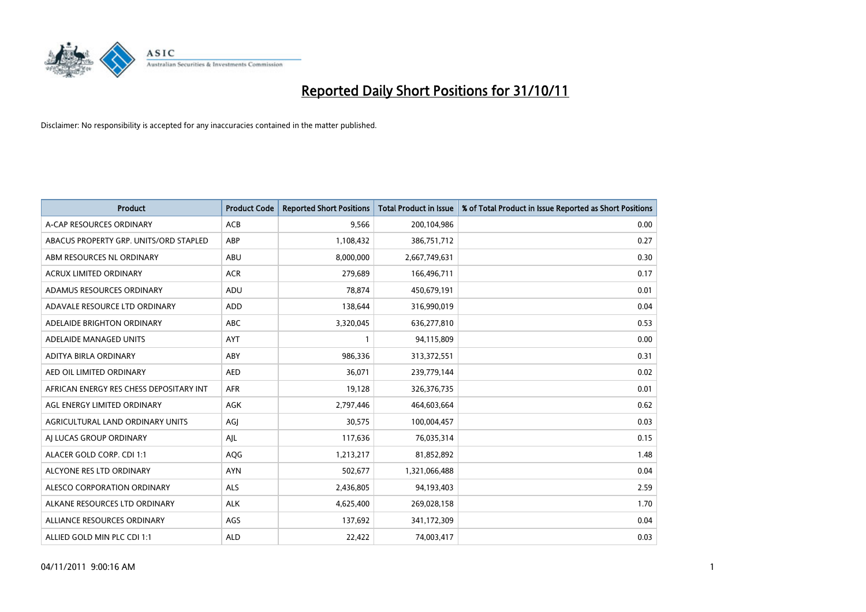

| <b>Product</b>                          | <b>Product Code</b> | <b>Reported Short Positions</b> | <b>Total Product in Issue</b> | % of Total Product in Issue Reported as Short Positions |
|-----------------------------------------|---------------------|---------------------------------|-------------------------------|---------------------------------------------------------|
| A-CAP RESOURCES ORDINARY                | <b>ACB</b>          | 9,566                           | 200,104,986                   | 0.00                                                    |
| ABACUS PROPERTY GRP. UNITS/ORD STAPLED  | ABP                 | 1,108,432                       | 386,751,712                   | 0.27                                                    |
| ABM RESOURCES NL ORDINARY               | <b>ABU</b>          | 8,000,000                       | 2,667,749,631                 | 0.30                                                    |
| ACRUX LIMITED ORDINARY                  | <b>ACR</b>          | 279,689                         | 166,496,711                   | 0.17                                                    |
| ADAMUS RESOURCES ORDINARY               | ADU                 | 78,874                          | 450,679,191                   | 0.01                                                    |
| ADAVALE RESOURCE LTD ORDINARY           | <b>ADD</b>          | 138,644                         | 316,990,019                   | 0.04                                                    |
| ADELAIDE BRIGHTON ORDINARY              | <b>ABC</b>          | 3,320,045                       | 636,277,810                   | 0.53                                                    |
| ADELAIDE MANAGED UNITS                  | <b>AYT</b>          |                                 | 94,115,809                    | 0.00                                                    |
| ADITYA BIRLA ORDINARY                   | ABY                 | 986,336                         | 313,372,551                   | 0.31                                                    |
| AED OIL LIMITED ORDINARY                | <b>AED</b>          | 36,071                          | 239,779,144                   | 0.02                                                    |
| AFRICAN ENERGY RES CHESS DEPOSITARY INT | <b>AFR</b>          | 19,128                          | 326, 376, 735                 | 0.01                                                    |
| AGL ENERGY LIMITED ORDINARY             | <b>AGK</b>          | 2,797,446                       | 464,603,664                   | 0.62                                                    |
| AGRICULTURAL LAND ORDINARY UNITS        | AGI                 | 30,575                          | 100,004,457                   | 0.03                                                    |
| AI LUCAS GROUP ORDINARY                 | AJL                 | 117,636                         | 76,035,314                    | 0.15                                                    |
| ALACER GOLD CORP. CDI 1:1               | AQG                 | 1,213,217                       | 81,852,892                    | 1.48                                                    |
| ALCYONE RES LTD ORDINARY                | <b>AYN</b>          | 502,677                         | 1,321,066,488                 | 0.04                                                    |
| ALESCO CORPORATION ORDINARY             | ALS                 | 2,436,805                       | 94,193,403                    | 2.59                                                    |
| ALKANE RESOURCES LTD ORDINARY           | <b>ALK</b>          | 4,625,400                       | 269,028,158                   | 1.70                                                    |
| ALLIANCE RESOURCES ORDINARY             | AGS                 | 137,692                         | 341,172,309                   | 0.04                                                    |
| ALLIED GOLD MIN PLC CDI 1:1             | <b>ALD</b>          | 22,422                          | 74,003,417                    | 0.03                                                    |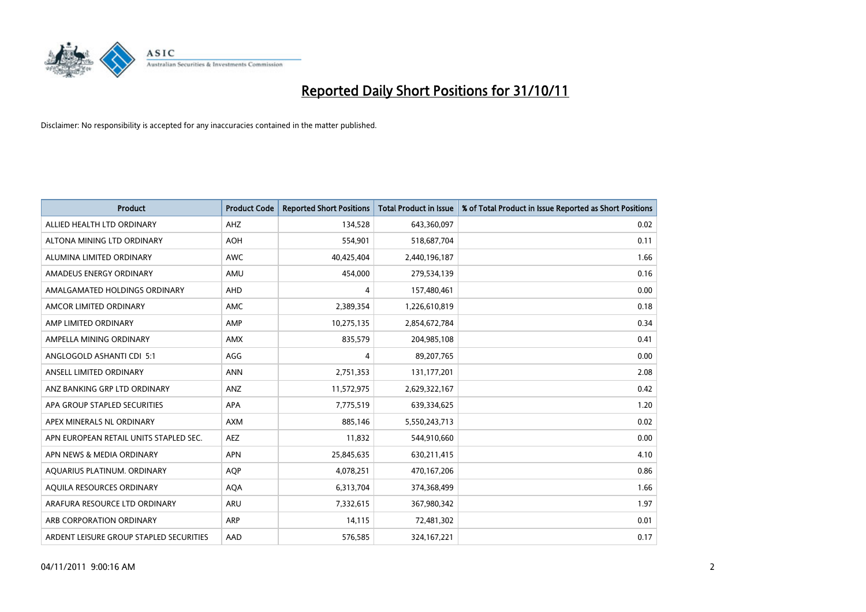

| <b>Product</b>                          | <b>Product Code</b> | <b>Reported Short Positions</b> | <b>Total Product in Issue</b> | % of Total Product in Issue Reported as Short Positions |
|-----------------------------------------|---------------------|---------------------------------|-------------------------------|---------------------------------------------------------|
| ALLIED HEALTH LTD ORDINARY              | AHZ                 | 134,528                         | 643,360,097                   | 0.02                                                    |
| ALTONA MINING LTD ORDINARY              | AOH                 | 554,901                         | 518,687,704                   | 0.11                                                    |
| ALUMINA LIMITED ORDINARY                | <b>AWC</b>          | 40,425,404                      | 2,440,196,187                 | 1.66                                                    |
| AMADEUS ENERGY ORDINARY                 | AMU                 | 454,000                         | 279,534,139                   | 0.16                                                    |
| AMALGAMATED HOLDINGS ORDINARY           | AHD                 | 4                               | 157,480,461                   | 0.00                                                    |
| AMCOR LIMITED ORDINARY                  | <b>AMC</b>          | 2,389,354                       | 1,226,610,819                 | 0.18                                                    |
| AMP LIMITED ORDINARY                    | AMP                 | 10,275,135                      | 2,854,672,784                 | 0.34                                                    |
| AMPELLA MINING ORDINARY                 | <b>AMX</b>          | 835,579                         | 204,985,108                   | 0.41                                                    |
| ANGLOGOLD ASHANTI CDI 5:1               | AGG                 | 4                               | 89,207,765                    | 0.00                                                    |
| ANSELL LIMITED ORDINARY                 | <b>ANN</b>          | 2,751,353                       | 131, 177, 201                 | 2.08                                                    |
| ANZ BANKING GRP LTD ORDINARY            | ANZ                 | 11,572,975                      | 2,629,322,167                 | 0.42                                                    |
| APA GROUP STAPLED SECURITIES            | <b>APA</b>          | 7,775,519                       | 639,334,625                   | 1.20                                                    |
| APEX MINERALS NL ORDINARY               | <b>AXM</b>          | 885,146                         | 5,550,243,713                 | 0.02                                                    |
| APN EUROPEAN RETAIL UNITS STAPLED SEC.  | <b>AEZ</b>          | 11,832                          | 544,910,660                   | 0.00                                                    |
| APN NEWS & MEDIA ORDINARY               | <b>APN</b>          | 25,845,635                      | 630,211,415                   | 4.10                                                    |
| AQUARIUS PLATINUM. ORDINARY             | <b>AQP</b>          | 4,078,251                       | 470,167,206                   | 0.86                                                    |
| AQUILA RESOURCES ORDINARY               | <b>AQA</b>          | 6,313,704                       | 374,368,499                   | 1.66                                                    |
| ARAFURA RESOURCE LTD ORDINARY           | <b>ARU</b>          | 7,332,615                       | 367,980,342                   | 1.97                                                    |
| ARB CORPORATION ORDINARY                | ARP                 | 14,115                          | 72,481,302                    | 0.01                                                    |
| ARDENT LEISURE GROUP STAPLED SECURITIES | AAD                 | 576.585                         | 324, 167, 221                 | 0.17                                                    |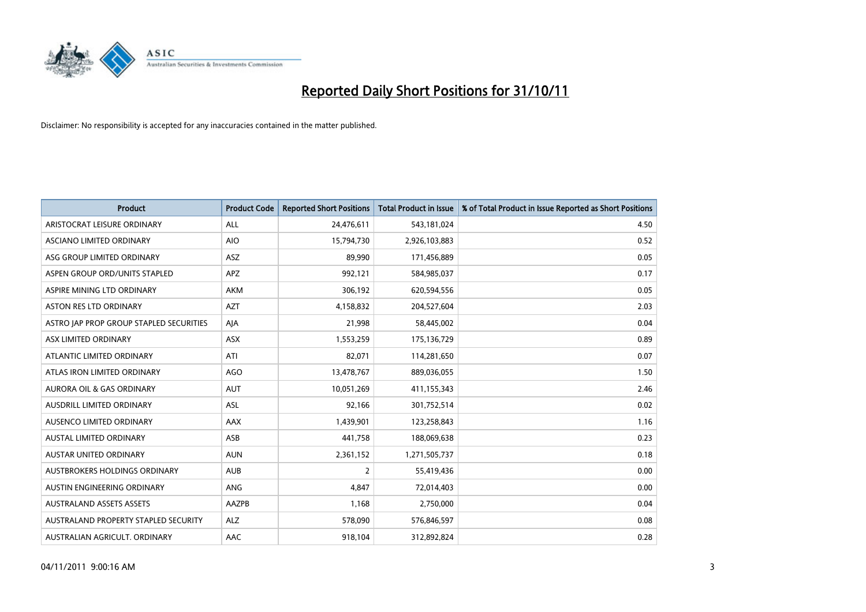

| <b>Product</b>                          | <b>Product Code</b> | <b>Reported Short Positions</b> | <b>Total Product in Issue</b> | % of Total Product in Issue Reported as Short Positions |
|-----------------------------------------|---------------------|---------------------------------|-------------------------------|---------------------------------------------------------|
| ARISTOCRAT LEISURE ORDINARY             | <b>ALL</b>          | 24,476,611                      | 543,181,024                   | 4.50                                                    |
| ASCIANO LIMITED ORDINARY                | <b>AIO</b>          | 15,794,730                      | 2,926,103,883                 | 0.52                                                    |
| ASG GROUP LIMITED ORDINARY              | ASZ                 | 89,990                          | 171,456,889                   | 0.05                                                    |
| ASPEN GROUP ORD/UNITS STAPLED           | <b>APZ</b>          | 992,121                         | 584,985,037                   | 0.17                                                    |
| ASPIRE MINING LTD ORDINARY              | <b>AKM</b>          | 306,192                         | 620,594,556                   | 0.05                                                    |
| <b>ASTON RES LTD ORDINARY</b>           | <b>AZT</b>          | 4,158,832                       | 204,527,604                   | 2.03                                                    |
| ASTRO JAP PROP GROUP STAPLED SECURITIES | AIA                 | 21,998                          | 58,445,002                    | 0.04                                                    |
| ASX LIMITED ORDINARY                    | ASX                 | 1,553,259                       | 175,136,729                   | 0.89                                                    |
| ATLANTIC LIMITED ORDINARY               | ATI                 | 82,071                          | 114,281,650                   | 0.07                                                    |
| ATLAS IRON LIMITED ORDINARY             | <b>AGO</b>          | 13,478,767                      | 889,036,055                   | 1.50                                                    |
| <b>AURORA OIL &amp; GAS ORDINARY</b>    | <b>AUT</b>          | 10,051,269                      | 411,155,343                   | 2.46                                                    |
| <b>AUSDRILL LIMITED ORDINARY</b>        | <b>ASL</b>          | 92,166                          | 301,752,514                   | 0.02                                                    |
| AUSENCO LIMITED ORDINARY                | <b>AAX</b>          | 1,439,901                       | 123,258,843                   | 1.16                                                    |
| <b>AUSTAL LIMITED ORDINARY</b>          | ASB                 | 441,758                         | 188,069,638                   | 0.23                                                    |
| <b>AUSTAR UNITED ORDINARY</b>           | <b>AUN</b>          | 2,361,152                       | 1,271,505,737                 | 0.18                                                    |
| AUSTBROKERS HOLDINGS ORDINARY           | <b>AUB</b>          | 2                               | 55,419,436                    | 0.00                                                    |
| AUSTIN ENGINEERING ORDINARY             | ANG                 | 4,847                           | 72,014,403                    | 0.00                                                    |
| <b>AUSTRALAND ASSETS ASSETS</b>         | AAZPB               | 1,168                           | 2,750,000                     | 0.04                                                    |
| AUSTRALAND PROPERTY STAPLED SECURITY    | <b>ALZ</b>          | 578,090                         | 576,846,597                   | 0.08                                                    |
| AUSTRALIAN AGRICULT. ORDINARY           | AAC                 | 918,104                         | 312,892,824                   | 0.28                                                    |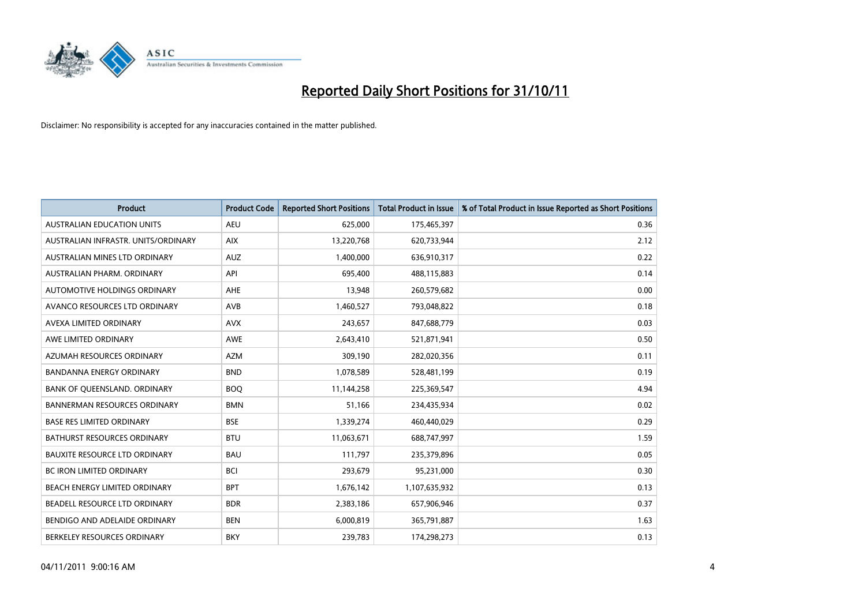

| <b>Product</b>                       | <b>Product Code</b> | <b>Reported Short Positions</b> | <b>Total Product in Issue</b> | % of Total Product in Issue Reported as Short Positions |
|--------------------------------------|---------------------|---------------------------------|-------------------------------|---------------------------------------------------------|
| <b>AUSTRALIAN EDUCATION UNITS</b>    | <b>AEU</b>          | 625,000                         | 175,465,397                   | 0.36                                                    |
| AUSTRALIAN INFRASTR, UNITS/ORDINARY  | <b>AIX</b>          | 13,220,768                      | 620,733,944                   | 2.12                                                    |
| AUSTRALIAN MINES LTD ORDINARY        | <b>AUZ</b>          | 1,400,000                       | 636,910,317                   | 0.22                                                    |
| AUSTRALIAN PHARM. ORDINARY           | API                 | 695,400                         | 488,115,883                   | 0.14                                                    |
| AUTOMOTIVE HOLDINGS ORDINARY         | <b>AHE</b>          | 13,948                          | 260,579,682                   | 0.00                                                    |
| AVANCO RESOURCES LTD ORDINARY        | AVB                 | 1,460,527                       | 793,048,822                   | 0.18                                                    |
| AVEXA LIMITED ORDINARY               | <b>AVX</b>          | 243,657                         | 847,688,779                   | 0.03                                                    |
| AWE LIMITED ORDINARY                 | <b>AWE</b>          | 2,643,410                       | 521,871,941                   | 0.50                                                    |
| AZUMAH RESOURCES ORDINARY            | <b>AZM</b>          | 309,190                         | 282,020,356                   | 0.11                                                    |
| <b>BANDANNA ENERGY ORDINARY</b>      | <b>BND</b>          | 1,078,589                       | 528,481,199                   | 0.19                                                    |
| BANK OF QUEENSLAND. ORDINARY         | <b>BOQ</b>          | 11,144,258                      | 225,369,547                   | 4.94                                                    |
| <b>BANNERMAN RESOURCES ORDINARY</b>  | <b>BMN</b>          | 51,166                          | 234,435,934                   | 0.02                                                    |
| <b>BASE RES LIMITED ORDINARY</b>     | <b>BSE</b>          | 1,339,274                       | 460,440,029                   | 0.29                                                    |
| <b>BATHURST RESOURCES ORDINARY</b>   | <b>BTU</b>          | 11,063,671                      | 688,747,997                   | 1.59                                                    |
| <b>BAUXITE RESOURCE LTD ORDINARY</b> | <b>BAU</b>          | 111,797                         | 235,379,896                   | 0.05                                                    |
| BC IRON LIMITED ORDINARY             | <b>BCI</b>          | 293,679                         | 95,231,000                    | 0.30                                                    |
| BEACH ENERGY LIMITED ORDINARY        | <b>BPT</b>          | 1,676,142                       | 1,107,635,932                 | 0.13                                                    |
| BEADELL RESOURCE LTD ORDINARY        | <b>BDR</b>          | 2,383,186                       | 657,906,946                   | 0.37                                                    |
| BENDIGO AND ADELAIDE ORDINARY        | <b>BEN</b>          | 6,000,819                       | 365,791,887                   | 1.63                                                    |
| BERKELEY RESOURCES ORDINARY          | <b>BKY</b>          | 239,783                         | 174,298,273                   | 0.13                                                    |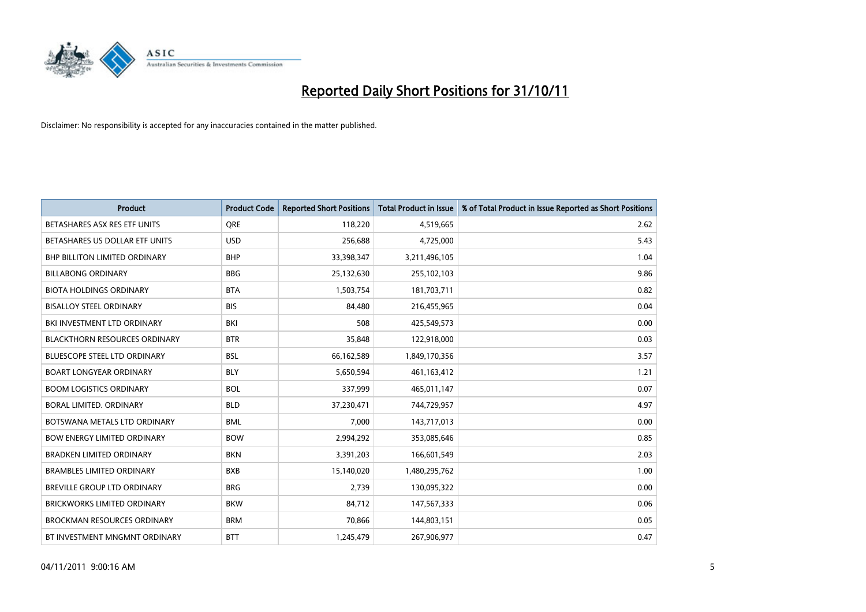

| <b>Product</b>                       | <b>Product Code</b> | <b>Reported Short Positions</b> | <b>Total Product in Issue</b> | % of Total Product in Issue Reported as Short Positions |
|--------------------------------------|---------------------|---------------------------------|-------------------------------|---------------------------------------------------------|
| BETASHARES ASX RES ETF UNITS         | <b>ORE</b>          | 118,220                         | 4,519,665                     | 2.62                                                    |
| BETASHARES US DOLLAR ETF UNITS       | <b>USD</b>          | 256,688                         | 4,725,000                     | 5.43                                                    |
| <b>BHP BILLITON LIMITED ORDINARY</b> | <b>BHP</b>          | 33,398,347                      | 3,211,496,105                 | 1.04                                                    |
| <b>BILLABONG ORDINARY</b>            | <b>BBG</b>          | 25,132,630                      | 255,102,103                   | 9.86                                                    |
| <b>BIOTA HOLDINGS ORDINARY</b>       | <b>BTA</b>          | 1,503,754                       | 181,703,711                   | 0.82                                                    |
| <b>BISALLOY STEEL ORDINARY</b>       | <b>BIS</b>          | 84,480                          | 216,455,965                   | 0.04                                                    |
| BKI INVESTMENT LTD ORDINARY          | BKI                 | 508                             | 425,549,573                   | 0.00                                                    |
| <b>BLACKTHORN RESOURCES ORDINARY</b> | <b>BTR</b>          | 35,848                          | 122,918,000                   | 0.03                                                    |
| <b>BLUESCOPE STEEL LTD ORDINARY</b>  | <b>BSL</b>          | 66,162,589                      | 1,849,170,356                 | 3.57                                                    |
| <b>BOART LONGYEAR ORDINARY</b>       | <b>BLY</b>          | 5,650,594                       | 461,163,412                   | 1.21                                                    |
| <b>BOOM LOGISTICS ORDINARY</b>       | <b>BOL</b>          | 337,999                         | 465,011,147                   | 0.07                                                    |
| BORAL LIMITED, ORDINARY              | <b>BLD</b>          | 37,230,471                      | 744,729,957                   | 4.97                                                    |
| BOTSWANA METALS LTD ORDINARY         | <b>BML</b>          | 7,000                           | 143,717,013                   | 0.00                                                    |
| <b>BOW ENERGY LIMITED ORDINARY</b>   | <b>BOW</b>          | 2,994,292                       | 353,085,646                   | 0.85                                                    |
| <b>BRADKEN LIMITED ORDINARY</b>      | <b>BKN</b>          | 3,391,203                       | 166,601,549                   | 2.03                                                    |
| <b>BRAMBLES LIMITED ORDINARY</b>     | <b>BXB</b>          | 15,140,020                      | 1,480,295,762                 | 1.00                                                    |
| BREVILLE GROUP LTD ORDINARY          | <b>BRG</b>          | 2,739                           | 130,095,322                   | 0.00                                                    |
| <b>BRICKWORKS LIMITED ORDINARY</b>   | <b>BKW</b>          | 84,712                          | 147,567,333                   | 0.06                                                    |
| <b>BROCKMAN RESOURCES ORDINARY</b>   | <b>BRM</b>          | 70,866                          | 144,803,151                   | 0.05                                                    |
| BT INVESTMENT MNGMNT ORDINARY        | <b>BTT</b>          | 1,245,479                       | 267,906,977                   | 0.47                                                    |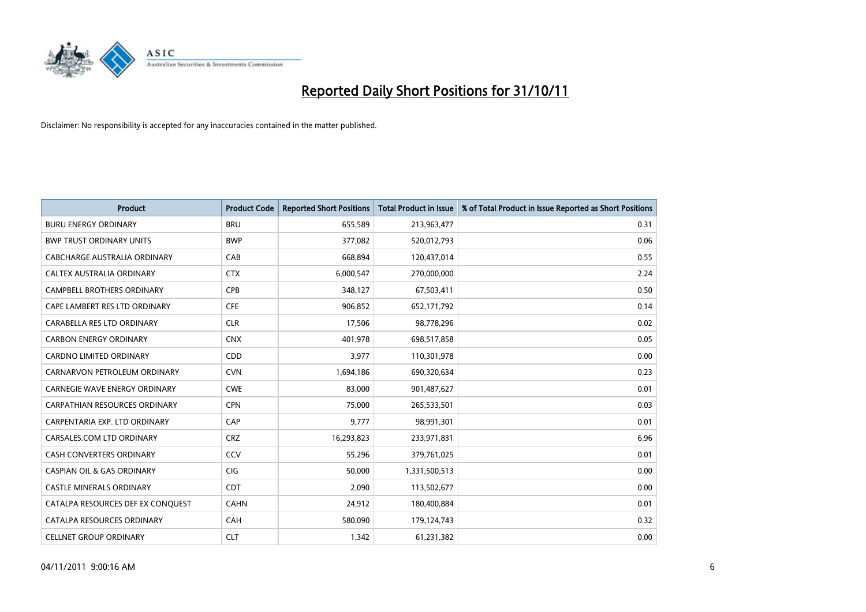

| <b>Product</b>                        | <b>Product Code</b> | <b>Reported Short Positions</b> | <b>Total Product in Issue</b> | % of Total Product in Issue Reported as Short Positions |
|---------------------------------------|---------------------|---------------------------------|-------------------------------|---------------------------------------------------------|
| <b>BURU ENERGY ORDINARY</b>           | <b>BRU</b>          | 655,589                         | 213,963,477                   | 0.31                                                    |
| <b>BWP TRUST ORDINARY UNITS</b>       | <b>BWP</b>          | 377,082                         | 520,012,793                   | 0.06                                                    |
| CABCHARGE AUSTRALIA ORDINARY          | CAB                 | 668,894                         | 120,437,014                   | 0.55                                                    |
| CALTEX AUSTRALIA ORDINARY             | <b>CTX</b>          | 6,000,547                       | 270,000,000                   | 2.24                                                    |
| <b>CAMPBELL BROTHERS ORDINARY</b>     | <b>CPB</b>          | 348,127                         | 67,503,411                    | 0.50                                                    |
| CAPE LAMBERT RES LTD ORDINARY         | <b>CFE</b>          | 906,852                         | 652,171,792                   | 0.14                                                    |
| CARABELLA RES LTD ORDINARY            | <b>CLR</b>          | 17,506                          | 98,778,296                    | 0.02                                                    |
| <b>CARBON ENERGY ORDINARY</b>         | <b>CNX</b>          | 401,978                         | 698,517,858                   | 0.05                                                    |
| <b>CARDNO LIMITED ORDINARY</b>        | CDD                 | 3,977                           | 110,301,978                   | 0.00                                                    |
| CARNARVON PETROLEUM ORDINARY          | <b>CVN</b>          | 1,694,186                       | 690,320,634                   | 0.23                                                    |
| CARNEGIE WAVE ENERGY ORDINARY         | <b>CWE</b>          | 83,000                          | 901,487,627                   | 0.01                                                    |
| <b>CARPATHIAN RESOURCES ORDINARY</b>  | <b>CPN</b>          | 75,000                          | 265,533,501                   | 0.03                                                    |
| CARPENTARIA EXP. LTD ORDINARY         | CAP                 | 9,777                           | 98,991,301                    | 0.01                                                    |
| CARSALES.COM LTD ORDINARY             | <b>CRZ</b>          | 16,293,823                      | 233,971,831                   | 6.96                                                    |
| <b>CASH CONVERTERS ORDINARY</b>       | CCV                 | 55,296                          | 379,761,025                   | 0.01                                                    |
| <b>CASPIAN OIL &amp; GAS ORDINARY</b> | <b>CIG</b>          | 50,000                          | 1,331,500,513                 | 0.00                                                    |
| <b>CASTLE MINERALS ORDINARY</b>       | <b>CDT</b>          | 2,090                           | 113,502,677                   | 0.00                                                    |
| CATALPA RESOURCES DEF EX CONQUEST     | <b>CAHN</b>         | 24,912                          | 180,400,884                   | 0.01                                                    |
| CATALPA RESOURCES ORDINARY            | <b>CAH</b>          | 580,090                         | 179,124,743                   | 0.32                                                    |
| <b>CELLNET GROUP ORDINARY</b>         | <b>CLT</b>          | 1,342                           | 61,231,382                    | 0.00                                                    |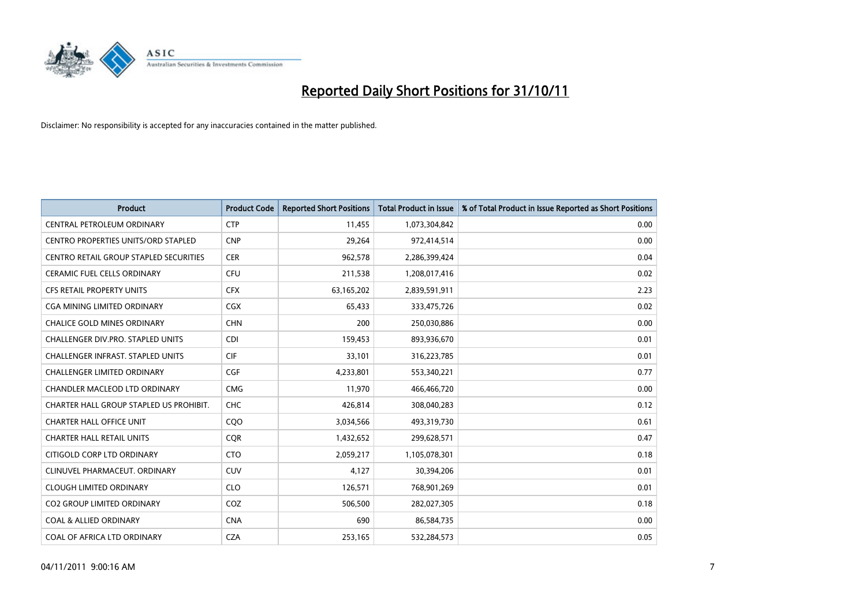

| <b>Product</b>                          | <b>Product Code</b> | <b>Reported Short Positions</b> | <b>Total Product in Issue</b> | % of Total Product in Issue Reported as Short Positions |
|-----------------------------------------|---------------------|---------------------------------|-------------------------------|---------------------------------------------------------|
| <b>CENTRAL PETROLEUM ORDINARY</b>       | <b>CTP</b>          | 11,455                          | 1,073,304,842                 | 0.00                                                    |
| CENTRO PROPERTIES UNITS/ORD STAPLED     | <b>CNP</b>          | 29,264                          | 972,414,514                   | 0.00                                                    |
| CENTRO RETAIL GROUP STAPLED SECURITIES  | <b>CER</b>          | 962,578                         | 2,286,399,424                 | 0.04                                                    |
| <b>CERAMIC FUEL CELLS ORDINARY</b>      | <b>CFU</b>          | 211,538                         | 1,208,017,416                 | 0.02                                                    |
| <b>CFS RETAIL PROPERTY UNITS</b>        | <b>CFX</b>          | 63,165,202                      | 2,839,591,911                 | 2.23                                                    |
| <b>CGA MINING LIMITED ORDINARY</b>      | <b>CGX</b>          | 65.433                          | 333,475,726                   | 0.02                                                    |
| <b>CHALICE GOLD MINES ORDINARY</b>      | <b>CHN</b>          | 200                             | 250,030,886                   | 0.00                                                    |
| CHALLENGER DIV.PRO. STAPLED UNITS       | <b>CDI</b>          | 159,453                         | 893,936,670                   | 0.01                                                    |
| CHALLENGER INFRAST. STAPLED UNITS       | <b>CIF</b>          | 33,101                          | 316,223,785                   | 0.01                                                    |
| <b>CHALLENGER LIMITED ORDINARY</b>      | CGF                 | 4,233,801                       | 553,340,221                   | 0.77                                                    |
| CHANDLER MACLEOD LTD ORDINARY           | <b>CMG</b>          | 11,970                          | 466,466,720                   | 0.00                                                    |
| CHARTER HALL GROUP STAPLED US PROHIBIT. | <b>CHC</b>          | 426,814                         | 308,040,283                   | 0.12                                                    |
| <b>CHARTER HALL OFFICE UNIT</b>         | COO                 | 3,034,566                       | 493,319,730                   | 0.61                                                    |
| <b>CHARTER HALL RETAIL UNITS</b>        | <b>COR</b>          | 1,432,652                       | 299,628,571                   | 0.47                                                    |
| CITIGOLD CORP LTD ORDINARY              | <b>CTO</b>          | 2,059,217                       | 1,105,078,301                 | 0.18                                                    |
| CLINUVEL PHARMACEUT, ORDINARY           | CUV                 | 4,127                           | 30,394,206                    | 0.01                                                    |
| <b>CLOUGH LIMITED ORDINARY</b>          | <b>CLO</b>          | 126,571                         | 768,901,269                   | 0.01                                                    |
| CO2 GROUP LIMITED ORDINARY              | COZ                 | 506,500                         | 282,027,305                   | 0.18                                                    |
| <b>COAL &amp; ALLIED ORDINARY</b>       | <b>CNA</b>          | 690                             | 86,584,735                    | 0.00                                                    |
| COAL OF AFRICA LTD ORDINARY             | <b>CZA</b>          | 253,165                         | 532,284,573                   | 0.05                                                    |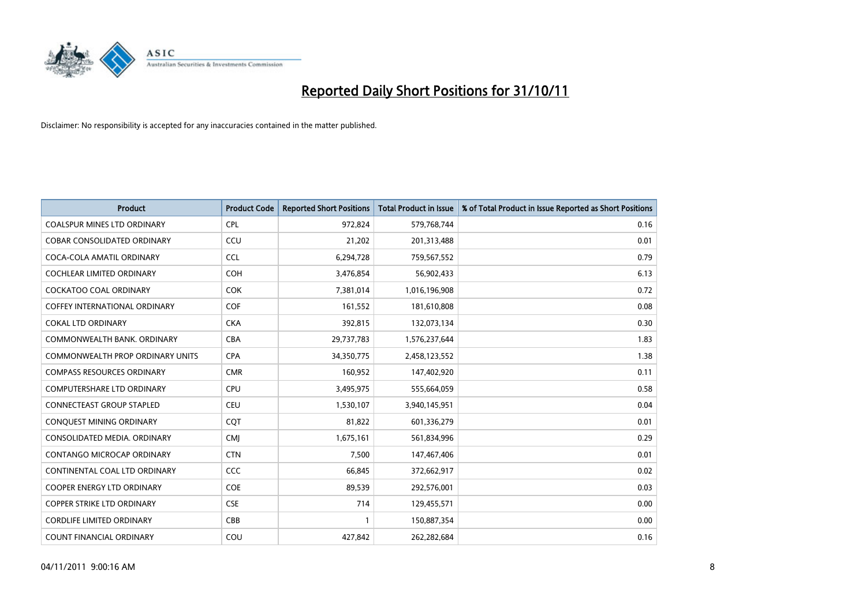

| <b>Product</b>                          | <b>Product Code</b> | <b>Reported Short Positions</b> | <b>Total Product in Issue</b> | % of Total Product in Issue Reported as Short Positions |
|-----------------------------------------|---------------------|---------------------------------|-------------------------------|---------------------------------------------------------|
| <b>COALSPUR MINES LTD ORDINARY</b>      | <b>CPL</b>          | 972,824                         | 579,768,744                   | 0.16                                                    |
| COBAR CONSOLIDATED ORDINARY             | CCU                 | 21,202                          | 201,313,488                   | 0.01                                                    |
| COCA-COLA AMATIL ORDINARY               | <b>CCL</b>          | 6,294,728                       | 759,567,552                   | 0.79                                                    |
| COCHLEAR LIMITED ORDINARY               | <b>COH</b>          | 3,476,854                       | 56,902,433                    | 6.13                                                    |
| <b>COCKATOO COAL ORDINARY</b>           | <b>COK</b>          | 7,381,014                       | 1,016,196,908                 | 0.72                                                    |
| <b>COFFEY INTERNATIONAL ORDINARY</b>    | <b>COF</b>          | 161,552                         | 181,610,808                   | 0.08                                                    |
| <b>COKAL LTD ORDINARY</b>               | <b>CKA</b>          | 392,815                         | 132,073,134                   | 0.30                                                    |
| COMMONWEALTH BANK, ORDINARY             | <b>CBA</b>          | 29,737,783                      | 1,576,237,644                 | 1.83                                                    |
| <b>COMMONWEALTH PROP ORDINARY UNITS</b> | <b>CPA</b>          | 34,350,775                      | 2,458,123,552                 | 1.38                                                    |
| <b>COMPASS RESOURCES ORDINARY</b>       | <b>CMR</b>          | 160,952                         | 147,402,920                   | 0.11                                                    |
| COMPUTERSHARE LTD ORDINARY              | <b>CPU</b>          | 3,495,975                       | 555,664,059                   | 0.58                                                    |
| <b>CONNECTEAST GROUP STAPLED</b>        | <b>CEU</b>          | 1,530,107                       | 3,940,145,951                 | 0.04                                                    |
| CONQUEST MINING ORDINARY                | COT                 | 81,822                          | 601,336,279                   | 0.01                                                    |
| CONSOLIDATED MEDIA, ORDINARY            | <b>CMI</b>          | 1,675,161                       | 561,834,996                   | 0.29                                                    |
| <b>CONTANGO MICROCAP ORDINARY</b>       | <b>CTN</b>          | 7,500                           | 147,467,406                   | 0.01                                                    |
| CONTINENTAL COAL LTD ORDINARY           | CCC                 | 66,845                          | 372,662,917                   | 0.02                                                    |
| COOPER ENERGY LTD ORDINARY              | <b>COE</b>          | 89,539                          | 292,576,001                   | 0.03                                                    |
| COPPER STRIKE LTD ORDINARY              | <b>CSE</b>          | 714                             | 129,455,571                   | 0.00                                                    |
| <b>CORDLIFE LIMITED ORDINARY</b>        | CBB                 |                                 | 150,887,354                   | 0.00                                                    |
| COUNT FINANCIAL ORDINARY                | COU                 | 427,842                         | 262,282,684                   | 0.16                                                    |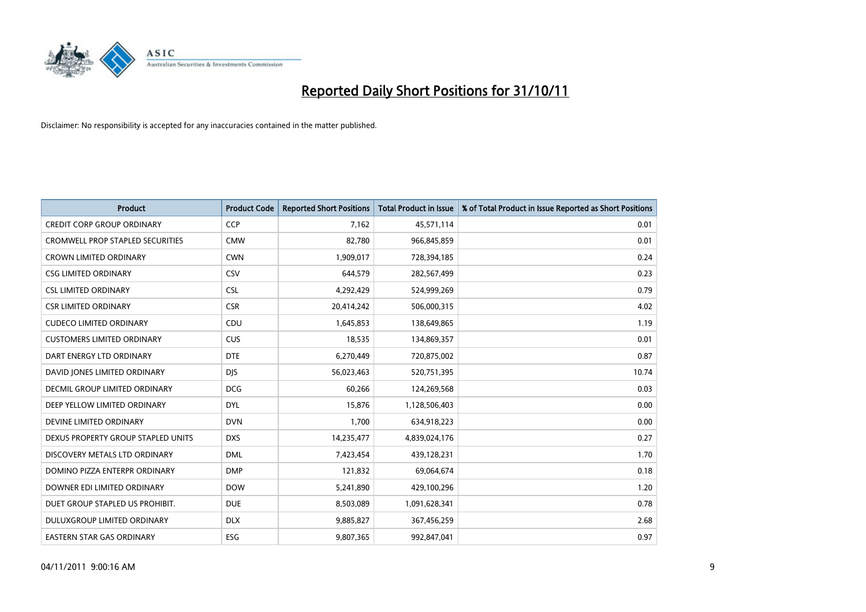

| <b>Product</b>                          | <b>Product Code</b> | <b>Reported Short Positions</b> | <b>Total Product in Issue</b> | % of Total Product in Issue Reported as Short Positions |
|-----------------------------------------|---------------------|---------------------------------|-------------------------------|---------------------------------------------------------|
| <b>CREDIT CORP GROUP ORDINARY</b>       | <b>CCP</b>          | 7,162                           | 45,571,114                    | 0.01                                                    |
| <b>CROMWELL PROP STAPLED SECURITIES</b> | <b>CMW</b>          | 82,780                          | 966,845,859                   | 0.01                                                    |
| CROWN LIMITED ORDINARY                  | <b>CWN</b>          | 1,909,017                       | 728,394,185                   | 0.24                                                    |
| <b>CSG LIMITED ORDINARY</b>             | CSV                 | 644,579                         | 282,567,499                   | 0.23                                                    |
| <b>CSL LIMITED ORDINARY</b>             | <b>CSL</b>          | 4,292,429                       | 524,999,269                   | 0.79                                                    |
| <b>CSR LIMITED ORDINARY</b>             | <b>CSR</b>          | 20,414,242                      | 506,000,315                   | 4.02                                                    |
| <b>CUDECO LIMITED ORDINARY</b>          | CDU                 | 1,645,853                       | 138,649,865                   | 1.19                                                    |
| <b>CUSTOMERS LIMITED ORDINARY</b>       | <b>CUS</b>          | 18,535                          | 134,869,357                   | 0.01                                                    |
| DART ENERGY LTD ORDINARY                | <b>DTE</b>          | 6,270,449                       | 720,875,002                   | 0.87                                                    |
| DAVID JONES LIMITED ORDINARY            | <b>DJS</b>          | 56,023,463                      | 520,751,395                   | 10.74                                                   |
| DECMIL GROUP LIMITED ORDINARY           | <b>DCG</b>          | 60,266                          | 124,269,568                   | 0.03                                                    |
| DEEP YELLOW LIMITED ORDINARY            | <b>DYL</b>          | 15,876                          | 1,128,506,403                 | 0.00                                                    |
| DEVINE LIMITED ORDINARY                 | <b>DVN</b>          | 1,700                           | 634,918,223                   | 0.00                                                    |
| DEXUS PROPERTY GROUP STAPLED UNITS      | <b>DXS</b>          | 14,235,477                      | 4,839,024,176                 | 0.27                                                    |
| DISCOVERY METALS LTD ORDINARY           | <b>DML</b>          | 7,423,454                       | 439,128,231                   | 1.70                                                    |
| DOMINO PIZZA ENTERPR ORDINARY           | <b>DMP</b>          | 121,832                         | 69,064,674                    | 0.18                                                    |
| DOWNER EDI LIMITED ORDINARY             | <b>DOW</b>          | 5,241,890                       | 429,100,296                   | 1.20                                                    |
| DUET GROUP STAPLED US PROHIBIT.         | <b>DUE</b>          | 8,503,089                       | 1,091,628,341                 | 0.78                                                    |
| DULUXGROUP LIMITED ORDINARY             | <b>DLX</b>          | 9,885,827                       | 367,456,259                   | 2.68                                                    |
| EASTERN STAR GAS ORDINARY               | ESG                 | 9,807,365                       | 992,847,041                   | 0.97                                                    |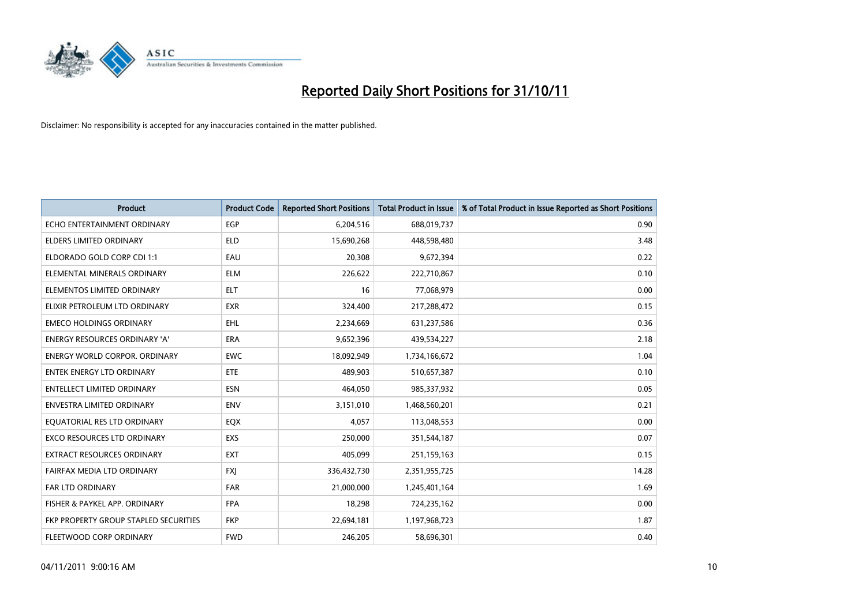

| <b>Product</b>                        | <b>Product Code</b> | <b>Reported Short Positions</b> | <b>Total Product in Issue</b> | % of Total Product in Issue Reported as Short Positions |
|---------------------------------------|---------------------|---------------------------------|-------------------------------|---------------------------------------------------------|
| ECHO ENTERTAINMENT ORDINARY           | <b>EGP</b>          | 6,204,516                       | 688,019,737                   | 0.90                                                    |
| ELDERS LIMITED ORDINARY               | <b>ELD</b>          | 15,690,268                      | 448,598,480                   | 3.48                                                    |
| ELDORADO GOLD CORP CDI 1:1            | EAU                 | 20,308                          | 9,672,394                     | 0.22                                                    |
| ELEMENTAL MINERALS ORDINARY           | <b>ELM</b>          | 226,622                         | 222,710,867                   | 0.10                                                    |
| ELEMENTOS LIMITED ORDINARY            | <b>ELT</b>          | 16                              | 77,068,979                    | 0.00                                                    |
| ELIXIR PETROLEUM LTD ORDINARY         | <b>EXR</b>          | 324,400                         | 217,288,472                   | 0.15                                                    |
| <b>EMECO HOLDINGS ORDINARY</b>        | <b>EHL</b>          | 2,234,669                       | 631,237,586                   | 0.36                                                    |
| ENERGY RESOURCES ORDINARY 'A'         | <b>ERA</b>          | 9,652,396                       | 439,534,227                   | 2.18                                                    |
| <b>ENERGY WORLD CORPOR, ORDINARY</b>  | <b>EWC</b>          | 18,092,949                      | 1,734,166,672                 | 1.04                                                    |
| <b>ENTEK ENERGY LTD ORDINARY</b>      | <b>ETE</b>          | 489,903                         | 510,657,387                   | 0.10                                                    |
| ENTELLECT LIMITED ORDINARY            | <b>ESN</b>          | 464,050                         | 985,337,932                   | 0.05                                                    |
| <b>ENVESTRA LIMITED ORDINARY</b>      | <b>ENV</b>          | 3,151,010                       | 1,468,560,201                 | 0.21                                                    |
| EQUATORIAL RES LTD ORDINARY           | <b>EQX</b>          | 4,057                           | 113,048,553                   | 0.00                                                    |
| <b>EXCO RESOURCES LTD ORDINARY</b>    | EXS                 | 250,000                         | 351,544,187                   | 0.07                                                    |
| <b>EXTRACT RESOURCES ORDINARY</b>     | EXT                 | 405,099                         | 251,159,163                   | 0.15                                                    |
| FAIRFAX MEDIA LTD ORDINARY            | <b>FXI</b>          | 336,432,730                     | 2,351,955,725                 | 14.28                                                   |
| FAR LTD ORDINARY                      | <b>FAR</b>          | 21,000,000                      | 1,245,401,164                 | 1.69                                                    |
| FISHER & PAYKEL APP. ORDINARY         | <b>FPA</b>          | 18,298                          | 724,235,162                   | 0.00                                                    |
| FKP PROPERTY GROUP STAPLED SECURITIES | <b>FKP</b>          | 22,694,181                      | 1,197,968,723                 | 1.87                                                    |
| FLEETWOOD CORP ORDINARY               | <b>FWD</b>          | 246,205                         | 58,696,301                    | 0.40                                                    |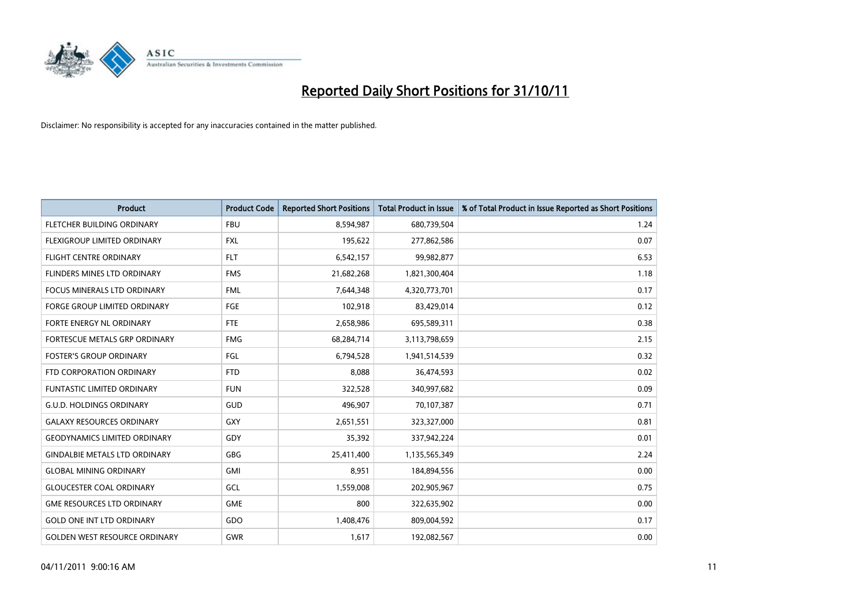

| <b>Product</b>                       | <b>Product Code</b> | <b>Reported Short Positions</b> | <b>Total Product in Issue</b> | % of Total Product in Issue Reported as Short Positions |
|--------------------------------------|---------------------|---------------------------------|-------------------------------|---------------------------------------------------------|
| <b>FLETCHER BUILDING ORDINARY</b>    | <b>FBU</b>          | 8,594,987                       | 680,739,504                   | 1.24                                                    |
| FLEXIGROUP LIMITED ORDINARY          | <b>FXL</b>          | 195,622                         | 277,862,586                   | 0.07                                                    |
| <b>FLIGHT CENTRE ORDINARY</b>        | <b>FLT</b>          | 6,542,157                       | 99,982,877                    | 6.53                                                    |
| FLINDERS MINES LTD ORDINARY          | <b>FMS</b>          | 21,682,268                      | 1,821,300,404                 | 1.18                                                    |
| <b>FOCUS MINERALS LTD ORDINARY</b>   | <b>FML</b>          | 7,644,348                       | 4,320,773,701                 | 0.17                                                    |
| <b>FORGE GROUP LIMITED ORDINARY</b>  | FGE                 | 102,918                         | 83,429,014                    | 0.12                                                    |
| <b>FORTE ENERGY NL ORDINARY</b>      | FTE                 | 2,658,986                       | 695,589,311                   | 0.38                                                    |
| <b>FORTESCUE METALS GRP ORDINARY</b> | <b>FMG</b>          | 68,284,714                      | 3,113,798,659                 | 2.15                                                    |
| <b>FOSTER'S GROUP ORDINARY</b>       | FGL                 | 6,794,528                       | 1,941,514,539                 | 0.32                                                    |
| FTD CORPORATION ORDINARY             | <b>FTD</b>          | 8,088                           | 36,474,593                    | 0.02                                                    |
| FUNTASTIC LIMITED ORDINARY           | <b>FUN</b>          | 322,528                         | 340,997,682                   | 0.09                                                    |
| <b>G.U.D. HOLDINGS ORDINARY</b>      | <b>GUD</b>          | 496,907                         | 70,107,387                    | 0.71                                                    |
| <b>GALAXY RESOURCES ORDINARY</b>     | GXY                 | 2,651,551                       | 323,327,000                   | 0.81                                                    |
| <b>GEODYNAMICS LIMITED ORDINARY</b>  | GDY                 | 35,392                          | 337,942,224                   | 0.01                                                    |
| <b>GINDALBIE METALS LTD ORDINARY</b> | <b>GBG</b>          | 25,411,400                      | 1,135,565,349                 | 2.24                                                    |
| <b>GLOBAL MINING ORDINARY</b>        | <b>GMI</b>          | 8,951                           | 184,894,556                   | 0.00                                                    |
| <b>GLOUCESTER COAL ORDINARY</b>      | GCL                 | 1,559,008                       | 202,905,967                   | 0.75                                                    |
| <b>GME RESOURCES LTD ORDINARY</b>    | <b>GME</b>          | 800                             | 322,635,902                   | 0.00                                                    |
| <b>GOLD ONE INT LTD ORDINARY</b>     | GDO                 | 1,408,476                       | 809,004,592                   | 0.17                                                    |
| <b>GOLDEN WEST RESOURCE ORDINARY</b> | <b>GWR</b>          | 1,617                           | 192,082,567                   | 0.00                                                    |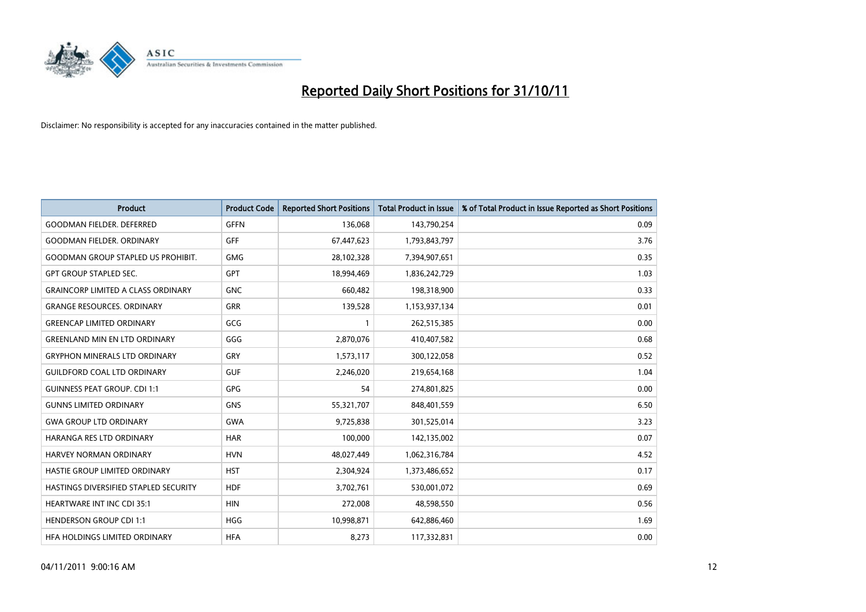

| <b>Product</b>                            | <b>Product Code</b> | <b>Reported Short Positions</b> | <b>Total Product in Issue</b> | % of Total Product in Issue Reported as Short Positions |
|-------------------------------------------|---------------------|---------------------------------|-------------------------------|---------------------------------------------------------|
| <b>GOODMAN FIELDER, DEFERRED</b>          | <b>GFFN</b>         | 136,068                         | 143,790,254                   | 0.09                                                    |
| <b>GOODMAN FIELDER. ORDINARY</b>          | <b>GFF</b>          | 67,447,623                      | 1,793,843,797                 | 3.76                                                    |
| <b>GOODMAN GROUP STAPLED US PROHIBIT.</b> | <b>GMG</b>          | 28,102,328                      | 7,394,907,651                 | 0.35                                                    |
| <b>GPT GROUP STAPLED SEC.</b>             | <b>GPT</b>          | 18,994,469                      | 1,836,242,729                 | 1.03                                                    |
| <b>GRAINCORP LIMITED A CLASS ORDINARY</b> | <b>GNC</b>          | 660,482                         | 198,318,900                   | 0.33                                                    |
| <b>GRANGE RESOURCES, ORDINARY</b>         | <b>GRR</b>          | 139,528                         | 1,153,937,134                 | 0.01                                                    |
| <b>GREENCAP LIMITED ORDINARY</b>          | GCG                 |                                 | 262,515,385                   | 0.00                                                    |
| <b>GREENLAND MIN EN LTD ORDINARY</b>      | GGG                 | 2,870,076                       | 410,407,582                   | 0.68                                                    |
| <b>GRYPHON MINERALS LTD ORDINARY</b>      | GRY                 | 1,573,117                       | 300,122,058                   | 0.52                                                    |
| <b>GUILDFORD COAL LTD ORDINARY</b>        | <b>GUF</b>          | 2,246,020                       | 219,654,168                   | 1.04                                                    |
| <b>GUINNESS PEAT GROUP. CDI 1:1</b>       | <b>GPG</b>          | 54                              | 274,801,825                   | 0.00                                                    |
| <b>GUNNS LIMITED ORDINARY</b>             | <b>GNS</b>          | 55,321,707                      | 848,401,559                   | 6.50                                                    |
| <b>GWA GROUP LTD ORDINARY</b>             | <b>GWA</b>          | 9,725,838                       | 301,525,014                   | 3.23                                                    |
| HARANGA RES LTD ORDINARY                  | <b>HAR</b>          | 100,000                         | 142,135,002                   | 0.07                                                    |
| HARVEY NORMAN ORDINARY                    | <b>HVN</b>          | 48,027,449                      | 1,062,316,784                 | 4.52                                                    |
| HASTIE GROUP LIMITED ORDINARY             | <b>HST</b>          | 2,304,924                       | 1,373,486,652                 | 0.17                                                    |
| HASTINGS DIVERSIFIED STAPLED SECURITY     | <b>HDF</b>          | 3,702,761                       | 530,001,072                   | 0.69                                                    |
| <b>HEARTWARE INT INC CDI 35:1</b>         | <b>HIN</b>          | 272,008                         | 48,598,550                    | 0.56                                                    |
| <b>HENDERSON GROUP CDI 1:1</b>            | <b>HGG</b>          | 10,998,871                      | 642,886,460                   | 1.69                                                    |
| HEA HOLDINGS LIMITED ORDINARY             | <b>HFA</b>          | 8.273                           | 117,332,831                   | 0.00                                                    |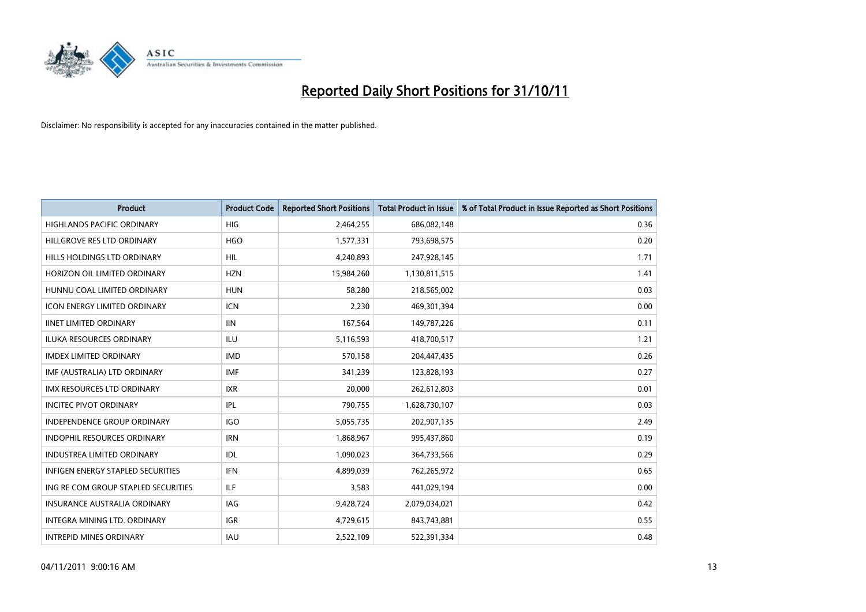

| <b>Product</b>                      | <b>Product Code</b> | <b>Reported Short Positions</b> | <b>Total Product in Issue</b> | % of Total Product in Issue Reported as Short Positions |
|-------------------------------------|---------------------|---------------------------------|-------------------------------|---------------------------------------------------------|
| <b>HIGHLANDS PACIFIC ORDINARY</b>   | <b>HIG</b>          | 2,464,255                       | 686,082,148                   | 0.36                                                    |
| HILLGROVE RES LTD ORDINARY          | <b>HGO</b>          | 1,577,331                       | 793,698,575                   | 0.20                                                    |
| HILLS HOLDINGS LTD ORDINARY         | <b>HIL</b>          | 4,240,893                       | 247,928,145                   | 1.71                                                    |
| HORIZON OIL LIMITED ORDINARY        | <b>HZN</b>          | 15,984,260                      | 1,130,811,515                 | 1.41                                                    |
| HUNNU COAL LIMITED ORDINARY         | <b>HUN</b>          | 58,280                          | 218,565,002                   | 0.03                                                    |
| <b>ICON ENERGY LIMITED ORDINARY</b> | <b>ICN</b>          | 2,230                           | 469,301,394                   | 0.00                                                    |
| <b>IINET LIMITED ORDINARY</b>       | <b>IIN</b>          | 167,564                         | 149,787,226                   | 0.11                                                    |
| ILUKA RESOURCES ORDINARY            | ILU                 | 5,116,593                       | 418,700,517                   | 1.21                                                    |
| <b>IMDEX LIMITED ORDINARY</b>       | <b>IMD</b>          | 570,158                         | 204,447,435                   | 0.26                                                    |
| IMF (AUSTRALIA) LTD ORDINARY        | <b>IMF</b>          | 341,239                         | 123,828,193                   | 0.27                                                    |
| IMX RESOURCES LTD ORDINARY          | <b>IXR</b>          | 20,000                          | 262,612,803                   | 0.01                                                    |
| <b>INCITEC PIVOT ORDINARY</b>       | IPL                 | 790,755                         | 1,628,730,107                 | 0.03                                                    |
| INDEPENDENCE GROUP ORDINARY         | <b>IGO</b>          | 5,055,735                       | 202,907,135                   | 2.49                                                    |
| <b>INDOPHIL RESOURCES ORDINARY</b>  | <b>IRN</b>          | 1,868,967                       | 995,437,860                   | 0.19                                                    |
| <b>INDUSTREA LIMITED ORDINARY</b>   | IDL                 | 1,090,023                       | 364,733,566                   | 0.29                                                    |
| INFIGEN ENERGY STAPLED SECURITIES   | <b>IFN</b>          | 4,899,039                       | 762,265,972                   | 0.65                                                    |
| ING RE COM GROUP STAPLED SECURITIES | ILF.                | 3,583                           | 441,029,194                   | 0.00                                                    |
| INSURANCE AUSTRALIA ORDINARY        | IAG                 | 9,428,724                       | 2,079,034,021                 | 0.42                                                    |
| <b>INTEGRA MINING LTD, ORDINARY</b> | <b>IGR</b>          | 4,729,615                       | 843,743,881                   | 0.55                                                    |
| <b>INTREPID MINES ORDINARY</b>      | <b>IAU</b>          | 2,522,109                       | 522,391,334                   | 0.48                                                    |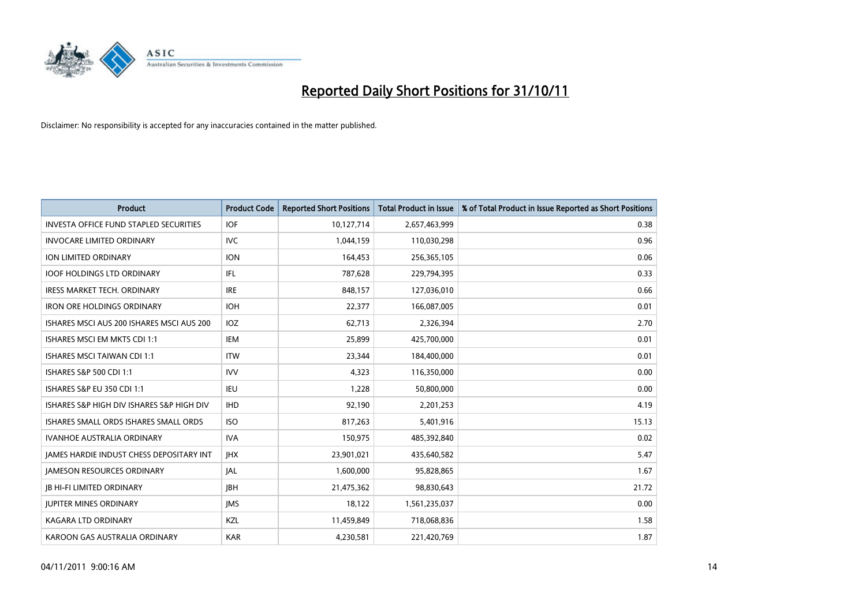

| <b>Product</b>                                  | <b>Product Code</b> | <b>Reported Short Positions</b> | <b>Total Product in Issue</b> | % of Total Product in Issue Reported as Short Positions |
|-------------------------------------------------|---------------------|---------------------------------|-------------------------------|---------------------------------------------------------|
| <b>INVESTA OFFICE FUND STAPLED SECURITIES</b>   | <b>IOF</b>          | 10,127,714                      | 2,657,463,999                 | 0.38                                                    |
| <b>INVOCARE LIMITED ORDINARY</b>                | <b>IVC</b>          | 1,044,159                       | 110,030,298                   | 0.96                                                    |
| <b>ION LIMITED ORDINARY</b>                     | <b>ION</b>          | 164,453                         | 256,365,105                   | 0.06                                                    |
| <b>IOOF HOLDINGS LTD ORDINARY</b>               | <b>IFL</b>          | 787,628                         | 229,794,395                   | 0.33                                                    |
| <b>IRESS MARKET TECH. ORDINARY</b>              | <b>IRE</b>          | 848,157                         | 127,036,010                   | 0.66                                                    |
| <b>IRON ORE HOLDINGS ORDINARY</b>               | <b>IOH</b>          | 22,377                          | 166,087,005                   | 0.01                                                    |
| ISHARES MSCI AUS 200 ISHARES MSCI AUS 200       | IOZ.                | 62,713                          | 2,326,394                     | 2.70                                                    |
| ISHARES MSCI EM MKTS CDI 1:1                    | IEM                 | 25,899                          | 425,700,000                   | 0.01                                                    |
| <b>ISHARES MSCI TAIWAN CDI 1:1</b>              | <b>ITW</b>          | 23,344                          | 184,400,000                   | 0.01                                                    |
| ISHARES S&P 500 CDI 1:1                         | <b>IVV</b>          | 4,323                           | 116,350,000                   | 0.00                                                    |
| ISHARES S&P EU 350 CDI 1:1                      | IEU                 | 1,228                           | 50,800,000                    | 0.00                                                    |
| ISHARES S&P HIGH DIV ISHARES S&P HIGH DIV       | <b>IHD</b>          | 92,190                          | 2,201,253                     | 4.19                                                    |
| ISHARES SMALL ORDS ISHARES SMALL ORDS           | <b>ISO</b>          | 817,263                         | 5,401,916                     | 15.13                                                   |
| <b>IVANHOE AUSTRALIA ORDINARY</b>               | <b>IVA</b>          | 150,975                         | 485,392,840                   | 0.02                                                    |
| <b>JAMES HARDIE INDUST CHESS DEPOSITARY INT</b> | <b>IHX</b>          | 23,901,021                      | 435,640,582                   | 5.47                                                    |
| <b>JAMESON RESOURCES ORDINARY</b>               | <b>JAL</b>          | 1,600,000                       | 95,828,865                    | 1.67                                                    |
| <b>JB HI-FI LIMITED ORDINARY</b>                | <b>IBH</b>          | 21,475,362                      | 98,830,643                    | 21.72                                                   |
| <b>JUPITER MINES ORDINARY</b>                   | <b>IMS</b>          | 18,122                          | 1,561,235,037                 | 0.00                                                    |
| <b>KAGARA LTD ORDINARY</b>                      | <b>KZL</b>          | 11,459,849                      | 718,068,836                   | 1.58                                                    |
| KAROON GAS AUSTRALIA ORDINARY                   | <b>KAR</b>          | 4,230,581                       | 221,420,769                   | 1.87                                                    |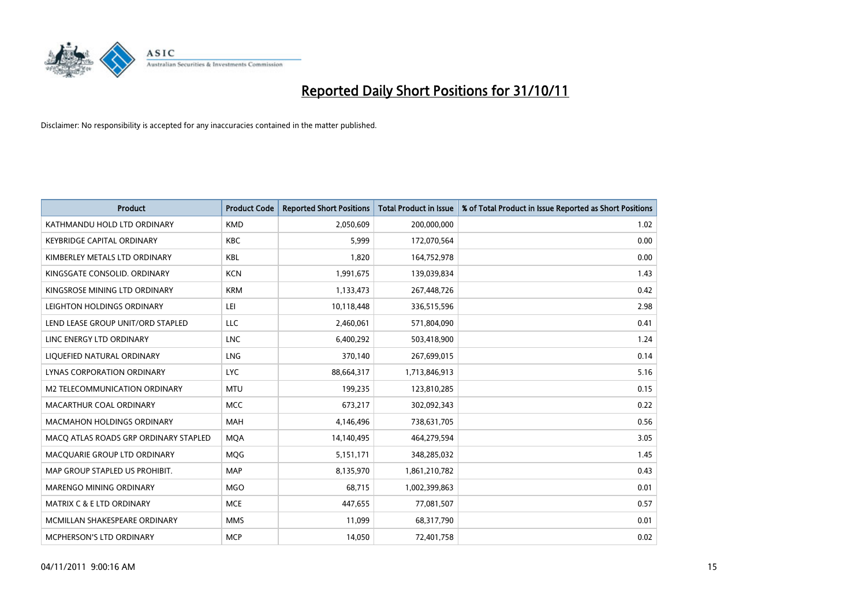

| <b>Product</b>                        | <b>Product Code</b> | <b>Reported Short Positions</b> | <b>Total Product in Issue</b> | % of Total Product in Issue Reported as Short Positions |
|---------------------------------------|---------------------|---------------------------------|-------------------------------|---------------------------------------------------------|
| KATHMANDU HOLD LTD ORDINARY           | <b>KMD</b>          | 2,050,609                       | 200,000,000                   | 1.02                                                    |
| <b>KEYBRIDGE CAPITAL ORDINARY</b>     | <b>KBC</b>          | 5,999                           | 172,070,564                   | 0.00                                                    |
| KIMBERLEY METALS LTD ORDINARY         | <b>KBL</b>          | 1,820                           | 164,752,978                   | 0.00                                                    |
| KINGSGATE CONSOLID. ORDINARY          | <b>KCN</b>          | 1,991,675                       | 139,039,834                   | 1.43                                                    |
| KINGSROSE MINING LTD ORDINARY         | <b>KRM</b>          | 1,133,473                       | 267,448,726                   | 0.42                                                    |
| LEIGHTON HOLDINGS ORDINARY            | LEI                 | 10,118,448                      | 336,515,596                   | 2.98                                                    |
| LEND LEASE GROUP UNIT/ORD STAPLED     | LLC                 | 2,460,061                       | 571,804,090                   | 0.41                                                    |
| LINC ENERGY LTD ORDINARY              | <b>LNC</b>          | 6,400,292                       | 503,418,900                   | 1.24                                                    |
| LIQUEFIED NATURAL ORDINARY            | LNG                 | 370,140                         | 267,699,015                   | 0.14                                                    |
| LYNAS CORPORATION ORDINARY            | <b>LYC</b>          | 88,664,317                      | 1,713,846,913                 | 5.16                                                    |
| M2 TELECOMMUNICATION ORDINARY         | <b>MTU</b>          | 199,235                         | 123,810,285                   | 0.15                                                    |
| MACARTHUR COAL ORDINARY               | <b>MCC</b>          | 673,217                         | 302,092,343                   | 0.22                                                    |
| <b>MACMAHON HOLDINGS ORDINARY</b>     | <b>MAH</b>          | 4,146,496                       | 738,631,705                   | 0.56                                                    |
| MACQ ATLAS ROADS GRP ORDINARY STAPLED | <b>MQA</b>          | 14,140,495                      | 464,279,594                   | 3.05                                                    |
| MACQUARIE GROUP LTD ORDINARY          | MQG                 | 5,151,171                       | 348,285,032                   | 1.45                                                    |
| MAP GROUP STAPLED US PROHIBIT.        | <b>MAP</b>          | 8,135,970                       | 1,861,210,782                 | 0.43                                                    |
| MARENGO MINING ORDINARY               | <b>MGO</b>          | 68,715                          | 1,002,399,863                 | 0.01                                                    |
| MATRIX C & E LTD ORDINARY             | <b>MCE</b>          | 447,655                         | 77,081,507                    | 0.57                                                    |
| MCMILLAN SHAKESPEARE ORDINARY         | <b>MMS</b>          | 11,099                          | 68,317,790                    | 0.01                                                    |
| MCPHERSON'S LTD ORDINARY              | <b>MCP</b>          | 14,050                          | 72,401,758                    | 0.02                                                    |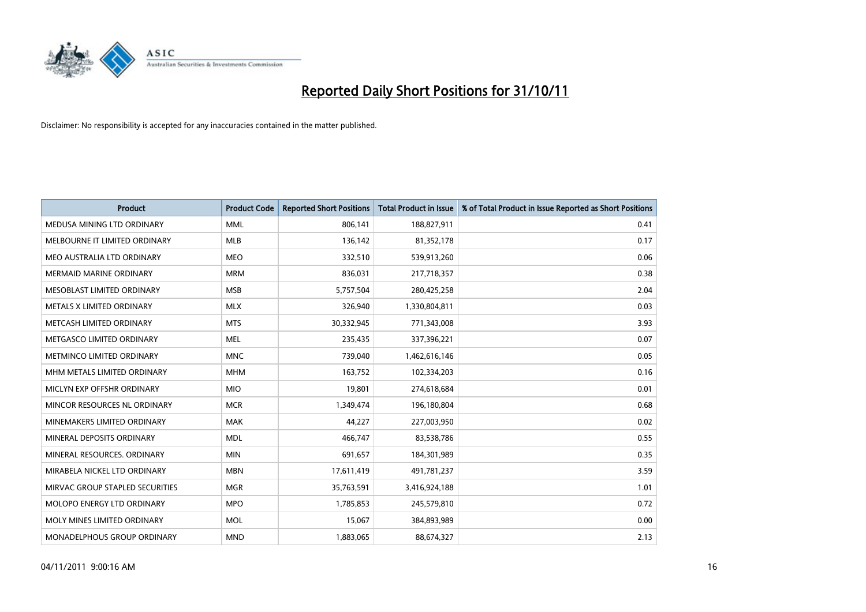

| <b>Product</b>                  | <b>Product Code</b> | <b>Reported Short Positions</b> | <b>Total Product in Issue</b> | % of Total Product in Issue Reported as Short Positions |
|---------------------------------|---------------------|---------------------------------|-------------------------------|---------------------------------------------------------|
| MEDUSA MINING LTD ORDINARY      | <b>MML</b>          | 806,141                         | 188,827,911                   | 0.41                                                    |
| MELBOURNE IT LIMITED ORDINARY   | <b>MLB</b>          | 136,142                         | 81,352,178                    | 0.17                                                    |
| MEO AUSTRALIA LTD ORDINARY      | <b>MEO</b>          | 332,510                         | 539,913,260                   | 0.06                                                    |
| MERMAID MARINE ORDINARY         | <b>MRM</b>          | 836,031                         | 217,718,357                   | 0.38                                                    |
| MESOBLAST LIMITED ORDINARY      | <b>MSB</b>          | 5,757,504                       | 280,425,258                   | 2.04                                                    |
| METALS X LIMITED ORDINARY       | <b>MLX</b>          | 326,940                         | 1,330,804,811                 | 0.03                                                    |
| METCASH LIMITED ORDINARY        | <b>MTS</b>          | 30,332,945                      | 771,343,008                   | 3.93                                                    |
| METGASCO LIMITED ORDINARY       | <b>MEL</b>          | 235,435                         | 337,396,221                   | 0.07                                                    |
| METMINCO LIMITED ORDINARY       | <b>MNC</b>          | 739,040                         | 1,462,616,146                 | 0.05                                                    |
| MHM METALS LIMITED ORDINARY     | <b>MHM</b>          | 163,752                         | 102,334,203                   | 0.16                                                    |
| MICLYN EXP OFFSHR ORDINARY      | <b>MIO</b>          | 19,801                          | 274,618,684                   | 0.01                                                    |
| MINCOR RESOURCES NL ORDINARY    | <b>MCR</b>          | 1,349,474                       | 196,180,804                   | 0.68                                                    |
| MINEMAKERS LIMITED ORDINARY     | <b>MAK</b>          | 44,227                          | 227,003,950                   | 0.02                                                    |
| MINERAL DEPOSITS ORDINARY       | <b>MDL</b>          | 466,747                         | 83,538,786                    | 0.55                                                    |
| MINERAL RESOURCES, ORDINARY     | <b>MIN</b>          | 691,657                         | 184,301,989                   | 0.35                                                    |
| MIRABELA NICKEL LTD ORDINARY    | <b>MBN</b>          | 17,611,419                      | 491,781,237                   | 3.59                                                    |
| MIRVAC GROUP STAPLED SECURITIES | <b>MGR</b>          | 35,763,591                      | 3,416,924,188                 | 1.01                                                    |
| MOLOPO ENERGY LTD ORDINARY      | <b>MPO</b>          | 1,785,853                       | 245,579,810                   | 0.72                                                    |
| MOLY MINES LIMITED ORDINARY     | <b>MOL</b>          | 15,067                          | 384,893,989                   | 0.00                                                    |
| MONADELPHOUS GROUP ORDINARY     | <b>MND</b>          | 1,883,065                       | 88,674,327                    | 2.13                                                    |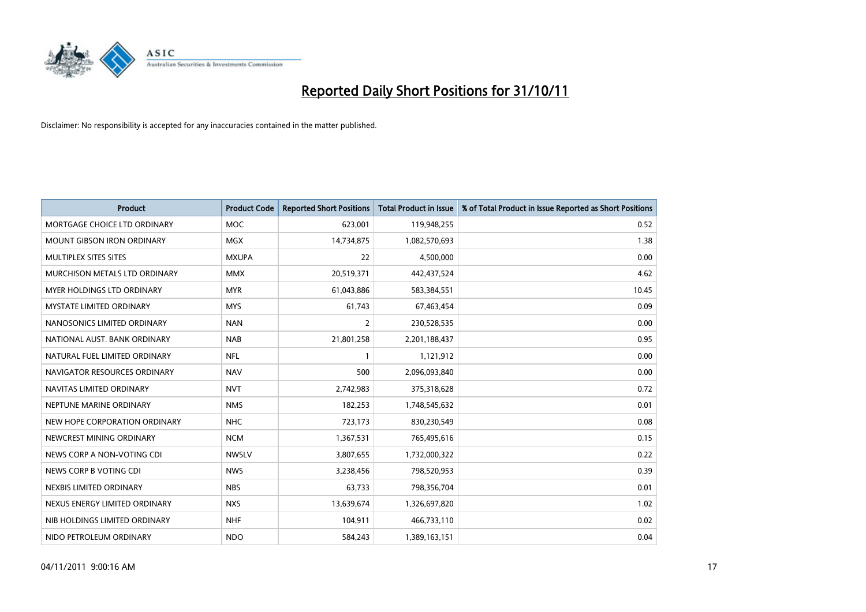

| <b>Product</b>                  | <b>Product Code</b> | <b>Reported Short Positions</b> | <b>Total Product in Issue</b> | % of Total Product in Issue Reported as Short Positions |
|---------------------------------|---------------------|---------------------------------|-------------------------------|---------------------------------------------------------|
| MORTGAGE CHOICE LTD ORDINARY    | <b>MOC</b>          | 623,001                         | 119,948,255                   | 0.52                                                    |
| MOUNT GIBSON IRON ORDINARY      | <b>MGX</b>          | 14,734,875                      | 1,082,570,693                 | 1.38                                                    |
| MULTIPLEX SITES SITES           | <b>MXUPA</b>        | 22                              | 4,500,000                     | 0.00                                                    |
| MURCHISON METALS LTD ORDINARY   | <b>MMX</b>          | 20,519,371                      | 442,437,524                   | 4.62                                                    |
| MYER HOLDINGS LTD ORDINARY      | <b>MYR</b>          | 61,043,886                      | 583,384,551                   | 10.45                                                   |
| <b>MYSTATE LIMITED ORDINARY</b> | <b>MYS</b>          | 61,743                          | 67,463,454                    | 0.09                                                    |
| NANOSONICS LIMITED ORDINARY     | <b>NAN</b>          | 2                               | 230,528,535                   | 0.00                                                    |
| NATIONAL AUST. BANK ORDINARY    | <b>NAB</b>          | 21,801,258                      | 2,201,188,437                 | 0.95                                                    |
| NATURAL FUEL LIMITED ORDINARY   | <b>NFL</b>          |                                 | 1,121,912                     | 0.00                                                    |
| NAVIGATOR RESOURCES ORDINARY    | <b>NAV</b>          | 500                             | 2,096,093,840                 | 0.00                                                    |
| NAVITAS LIMITED ORDINARY        | <b>NVT</b>          | 2,742,983                       | 375,318,628                   | 0.72                                                    |
| NEPTUNE MARINE ORDINARY         | <b>NMS</b>          | 182,253                         | 1,748,545,632                 | 0.01                                                    |
| NEW HOPE CORPORATION ORDINARY   | <b>NHC</b>          | 723,173                         | 830,230,549                   | 0.08                                                    |
| NEWCREST MINING ORDINARY        | <b>NCM</b>          | 1,367,531                       | 765,495,616                   | 0.15                                                    |
| NEWS CORP A NON-VOTING CDI      | <b>NWSLV</b>        | 3,807,655                       | 1,732,000,322                 | 0.22                                                    |
| NEWS CORP B VOTING CDI          | <b>NWS</b>          | 3,238,456                       | 798,520,953                   | 0.39                                                    |
| NEXBIS LIMITED ORDINARY         | <b>NBS</b>          | 63,733                          | 798,356,704                   | 0.01                                                    |
| NEXUS ENERGY LIMITED ORDINARY   | <b>NXS</b>          | 13,639,674                      | 1,326,697,820                 | 1.02                                                    |
| NIB HOLDINGS LIMITED ORDINARY   | <b>NHF</b>          | 104,911                         | 466,733,110                   | 0.02                                                    |
| NIDO PETROLEUM ORDINARY         | <b>NDO</b>          | 584,243                         | 1,389,163,151                 | 0.04                                                    |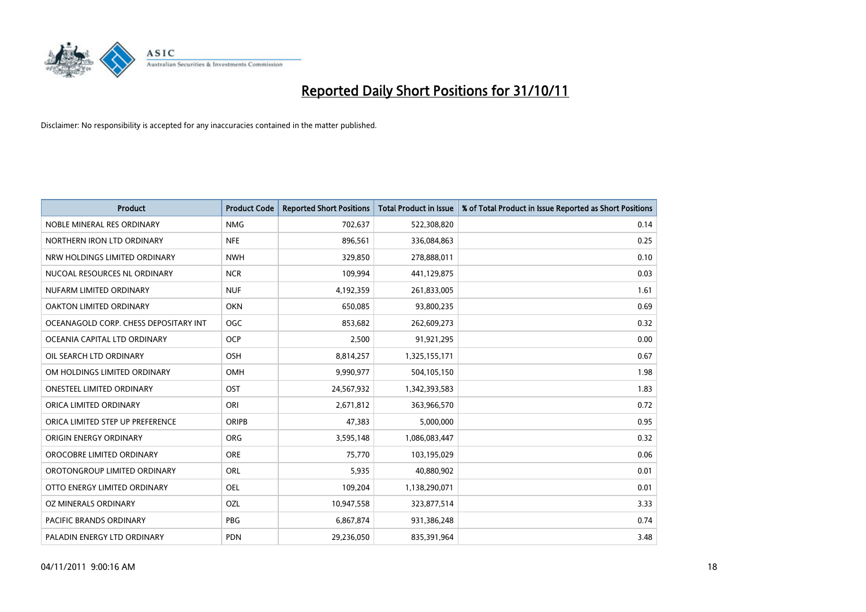

| <b>Product</b>                        | <b>Product Code</b> | <b>Reported Short Positions</b> | <b>Total Product in Issue</b> | % of Total Product in Issue Reported as Short Positions |
|---------------------------------------|---------------------|---------------------------------|-------------------------------|---------------------------------------------------------|
| NOBLE MINERAL RES ORDINARY            | <b>NMG</b>          | 702,637                         | 522,308,820                   | 0.14                                                    |
| NORTHERN IRON LTD ORDINARY            | <b>NFE</b>          | 896,561                         | 336,084,863                   | 0.25                                                    |
| NRW HOLDINGS LIMITED ORDINARY         | <b>NWH</b>          | 329,850                         | 278,888,011                   | 0.10                                                    |
| NUCOAL RESOURCES NL ORDINARY          | <b>NCR</b>          | 109,994                         | 441,129,875                   | 0.03                                                    |
| NUFARM LIMITED ORDINARY               | <b>NUF</b>          | 4,192,359                       | 261,833,005                   | 1.61                                                    |
| OAKTON LIMITED ORDINARY               | <b>OKN</b>          | 650,085                         | 93,800,235                    | 0.69                                                    |
| OCEANAGOLD CORP. CHESS DEPOSITARY INT | OGC                 | 853,682                         | 262,609,273                   | 0.32                                                    |
| OCEANIA CAPITAL LTD ORDINARY          | <b>OCP</b>          | 2,500                           | 91,921,295                    | 0.00                                                    |
| OIL SEARCH LTD ORDINARY               | <b>OSH</b>          | 8,814,257                       | 1,325,155,171                 | 0.67                                                    |
| OM HOLDINGS LIMITED ORDINARY          | <b>OMH</b>          | 9,990,977                       | 504,105,150                   | 1.98                                                    |
| ONESTEEL LIMITED ORDINARY             | OST                 | 24,567,932                      | 1,342,393,583                 | 1.83                                                    |
| ORICA LIMITED ORDINARY                | ORI                 | 2,671,812                       | 363,966,570                   | 0.72                                                    |
| ORICA LIMITED STEP UP PREFERENCE      | <b>ORIPB</b>        | 47,383                          | 5,000,000                     | 0.95                                                    |
| ORIGIN ENERGY ORDINARY                | <b>ORG</b>          | 3,595,148                       | 1,086,083,447                 | 0.32                                                    |
| OROCOBRE LIMITED ORDINARY             | <b>ORE</b>          | 75,770                          | 103,195,029                   | 0.06                                                    |
| OROTONGROUP LIMITED ORDINARY          | ORL                 | 5,935                           | 40,880,902                    | 0.01                                                    |
| OTTO ENERGY LIMITED ORDINARY          | OEL                 | 109,204                         | 1,138,290,071                 | 0.01                                                    |
| OZ MINERALS ORDINARY                  | OZL                 | 10,947,558                      | 323,877,514                   | 3.33                                                    |
| <b>PACIFIC BRANDS ORDINARY</b>        | <b>PBG</b>          | 6,867,874                       | 931,386,248                   | 0.74                                                    |
| PALADIN ENERGY LTD ORDINARY           | <b>PDN</b>          | 29,236,050                      | 835,391,964                   | 3.48                                                    |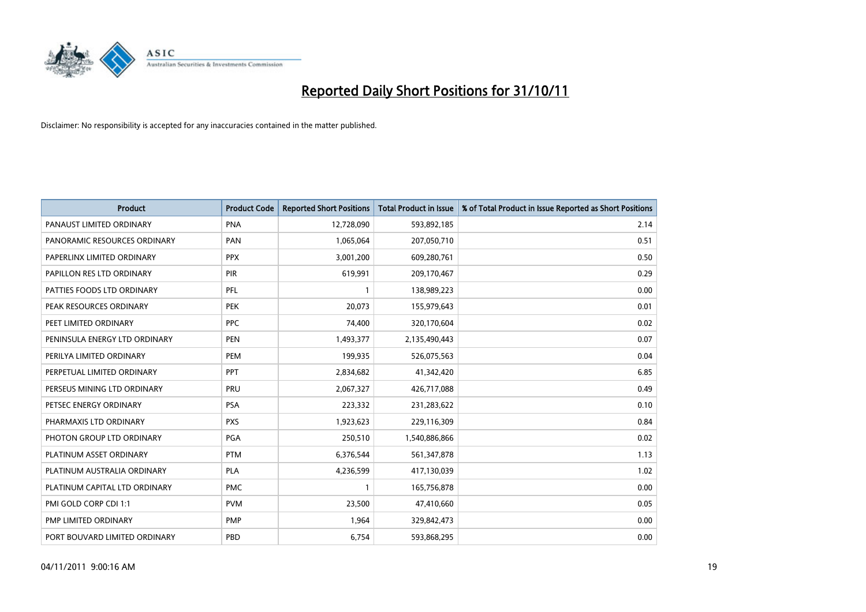

| <b>Product</b>                | <b>Product Code</b> | <b>Reported Short Positions</b> | <b>Total Product in Issue</b> | % of Total Product in Issue Reported as Short Positions |
|-------------------------------|---------------------|---------------------------------|-------------------------------|---------------------------------------------------------|
| PANAUST LIMITED ORDINARY      | <b>PNA</b>          | 12,728,090                      | 593,892,185                   | 2.14                                                    |
| PANORAMIC RESOURCES ORDINARY  | PAN                 | 1,065,064                       | 207,050,710                   | 0.51                                                    |
| PAPERLINX LIMITED ORDINARY    | <b>PPX</b>          | 3,001,200                       | 609,280,761                   | 0.50                                                    |
| PAPILLON RES LTD ORDINARY     | PIR                 | 619,991                         | 209,170,467                   | 0.29                                                    |
| PATTIES FOODS LTD ORDINARY    | PFL                 |                                 | 138,989,223                   | 0.00                                                    |
| PEAK RESOURCES ORDINARY       | <b>PEK</b>          | 20,073                          | 155,979,643                   | 0.01                                                    |
| PEET LIMITED ORDINARY         | <b>PPC</b>          | 74,400                          | 320,170,604                   | 0.02                                                    |
| PENINSULA ENERGY LTD ORDINARY | <b>PEN</b>          | 1,493,377                       | 2,135,490,443                 | 0.07                                                    |
| PERILYA LIMITED ORDINARY      | PEM                 | 199,935                         | 526,075,563                   | 0.04                                                    |
| PERPETUAL LIMITED ORDINARY    | PPT                 | 2,834,682                       | 41,342,420                    | 6.85                                                    |
| PERSEUS MINING LTD ORDINARY   | PRU                 | 2,067,327                       | 426,717,088                   | 0.49                                                    |
| PETSEC ENERGY ORDINARY        | <b>PSA</b>          | 223,332                         | 231,283,622                   | 0.10                                                    |
| PHARMAXIS LTD ORDINARY        | <b>PXS</b>          | 1,923,623                       | 229,116,309                   | 0.84                                                    |
| PHOTON GROUP LTD ORDINARY     | <b>PGA</b>          | 250,510                         | 1,540,886,866                 | 0.02                                                    |
| PLATINUM ASSET ORDINARY       | <b>PTM</b>          | 6,376,544                       | 561,347,878                   | 1.13                                                    |
| PLATINUM AUSTRALIA ORDINARY   | <b>PLA</b>          | 4,236,599                       | 417,130,039                   | 1.02                                                    |
| PLATINUM CAPITAL LTD ORDINARY | <b>PMC</b>          |                                 | 165,756,878                   | 0.00                                                    |
| PMI GOLD CORP CDI 1:1         | <b>PVM</b>          | 23,500                          | 47,410,660                    | 0.05                                                    |
| PMP LIMITED ORDINARY          | <b>PMP</b>          | 1,964                           | 329,842,473                   | 0.00                                                    |
| PORT BOUVARD LIMITED ORDINARY | PBD                 | 6,754                           | 593,868,295                   | 0.00                                                    |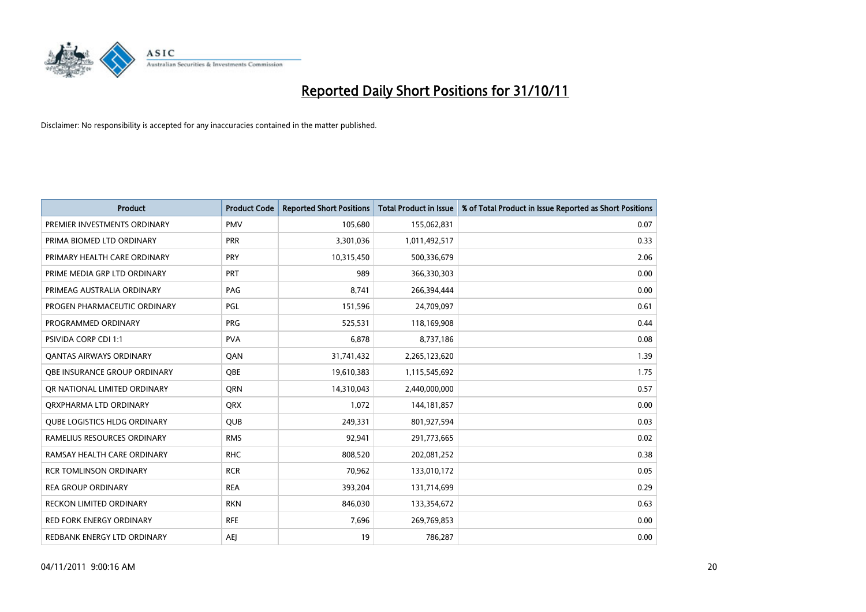

| <b>Product</b>                      | <b>Product Code</b> | <b>Reported Short Positions</b> | <b>Total Product in Issue</b> | % of Total Product in Issue Reported as Short Positions |
|-------------------------------------|---------------------|---------------------------------|-------------------------------|---------------------------------------------------------|
| PREMIER INVESTMENTS ORDINARY        | <b>PMV</b>          | 105,680                         | 155,062,831                   | 0.07                                                    |
| PRIMA BIOMED LTD ORDINARY           | <b>PRR</b>          | 3,301,036                       | 1,011,492,517                 | 0.33                                                    |
| PRIMARY HEALTH CARE ORDINARY        | <b>PRY</b>          | 10,315,450                      | 500,336,679                   | 2.06                                                    |
| PRIME MEDIA GRP LTD ORDINARY        | <b>PRT</b>          | 989                             | 366,330,303                   | 0.00                                                    |
| PRIMEAG AUSTRALIA ORDINARY          | PAG                 | 8,741                           | 266,394,444                   | 0.00                                                    |
| PROGEN PHARMACEUTIC ORDINARY        | PGL                 | 151,596                         | 24,709,097                    | 0.61                                                    |
| PROGRAMMED ORDINARY                 | <b>PRG</b>          | 525,531                         | 118,169,908                   | 0.44                                                    |
| PSIVIDA CORP CDI 1:1                | <b>PVA</b>          | 6,878                           | 8,737,186                     | 0.08                                                    |
| <b>QANTAS AIRWAYS ORDINARY</b>      | QAN                 | 31,741,432                      | 2,265,123,620                 | 1.39                                                    |
| OBE INSURANCE GROUP ORDINARY        | <b>OBE</b>          | 19,610,383                      | 1,115,545,692                 | 1.75                                                    |
| OR NATIONAL LIMITED ORDINARY        | <b>ORN</b>          | 14,310,043                      | 2,440,000,000                 | 0.57                                                    |
| ORXPHARMA LTD ORDINARY              | <b>ORX</b>          | 1,072                           | 144, 181, 857                 | 0.00                                                    |
| <b>QUBE LOGISTICS HLDG ORDINARY</b> | <b>QUB</b>          | 249,331                         | 801,927,594                   | 0.03                                                    |
| RAMELIUS RESOURCES ORDINARY         | <b>RMS</b>          | 92,941                          | 291,773,665                   | 0.02                                                    |
| RAMSAY HEALTH CARE ORDINARY         | <b>RHC</b>          | 808,520                         | 202,081,252                   | 0.38                                                    |
| <b>RCR TOMLINSON ORDINARY</b>       | <b>RCR</b>          | 70,962                          | 133,010,172                   | 0.05                                                    |
| <b>REA GROUP ORDINARY</b>           | <b>REA</b>          | 393,204                         | 131,714,699                   | 0.29                                                    |
| RECKON LIMITED ORDINARY             | <b>RKN</b>          | 846,030                         | 133,354,672                   | 0.63                                                    |
| <b>RED FORK ENERGY ORDINARY</b>     | <b>RFE</b>          | 7,696                           | 269,769,853                   | 0.00                                                    |
| REDBANK ENERGY LTD ORDINARY         | <b>AEI</b>          | 19                              | 786,287                       | 0.00                                                    |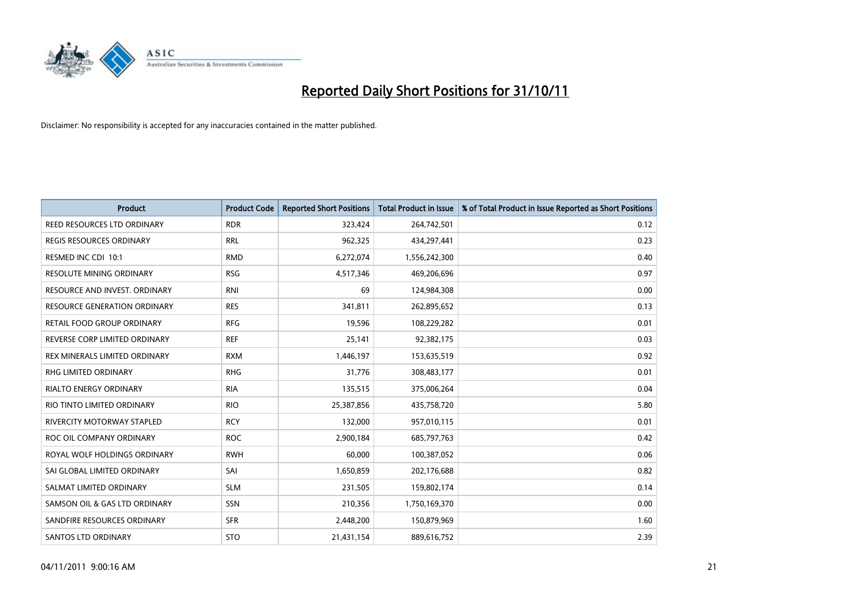

| <b>Product</b>                      | <b>Product Code</b> | <b>Reported Short Positions</b> | <b>Total Product in Issue</b> | % of Total Product in Issue Reported as Short Positions |
|-------------------------------------|---------------------|---------------------------------|-------------------------------|---------------------------------------------------------|
| REED RESOURCES LTD ORDINARY         | <b>RDR</b>          | 323,424                         | 264,742,501                   | 0.12                                                    |
| REGIS RESOURCES ORDINARY            | <b>RRL</b>          | 962,325                         | 434,297,441                   | 0.23                                                    |
| RESMED INC CDI 10:1                 | <b>RMD</b>          | 6,272,074                       | 1,556,242,300                 | 0.40                                                    |
| RESOLUTE MINING ORDINARY            | <b>RSG</b>          | 4,517,346                       | 469,206,696                   | 0.97                                                    |
| RESOURCE AND INVEST. ORDINARY       | <b>RNI</b>          | 69                              | 124,984,308                   | 0.00                                                    |
| <b>RESOURCE GENERATION ORDINARY</b> | <b>RES</b>          | 341,811                         | 262,895,652                   | 0.13                                                    |
| RETAIL FOOD GROUP ORDINARY          | <b>RFG</b>          | 19,596                          | 108,229,282                   | 0.01                                                    |
| REVERSE CORP LIMITED ORDINARY       | <b>REF</b>          | 25,141                          | 92,382,175                    | 0.03                                                    |
| REX MINERALS LIMITED ORDINARY       | <b>RXM</b>          | 1,446,197                       | 153,635,519                   | 0.92                                                    |
| <b>RHG LIMITED ORDINARY</b>         | <b>RHG</b>          | 31,776                          | 308,483,177                   | 0.01                                                    |
| <b>RIALTO ENERGY ORDINARY</b>       | <b>RIA</b>          | 135,515                         | 375,006,264                   | 0.04                                                    |
| RIO TINTO LIMITED ORDINARY          | <b>RIO</b>          | 25,387,856                      | 435,758,720                   | 5.80                                                    |
| <b>RIVERCITY MOTORWAY STAPLED</b>   | <b>RCY</b>          | 132,000                         | 957,010,115                   | 0.01                                                    |
| ROC OIL COMPANY ORDINARY            | <b>ROC</b>          | 2,900,184                       | 685,797,763                   | 0.42                                                    |
| ROYAL WOLF HOLDINGS ORDINARY        | <b>RWH</b>          | 60.000                          | 100,387,052                   | 0.06                                                    |
| SAI GLOBAL LIMITED ORDINARY         | SAI                 | 1,650,859                       | 202,176,688                   | 0.82                                                    |
| SALMAT LIMITED ORDINARY             | <b>SLM</b>          | 231,505                         | 159,802,174                   | 0.14                                                    |
| SAMSON OIL & GAS LTD ORDINARY       | SSN                 | 210,356                         | 1,750,169,370                 | 0.00                                                    |
| SANDFIRE RESOURCES ORDINARY         | <b>SFR</b>          | 2,448,200                       | 150,879,969                   | 1.60                                                    |
| <b>SANTOS LTD ORDINARY</b>          | <b>STO</b>          | 21,431,154                      | 889,616,752                   | 2.39                                                    |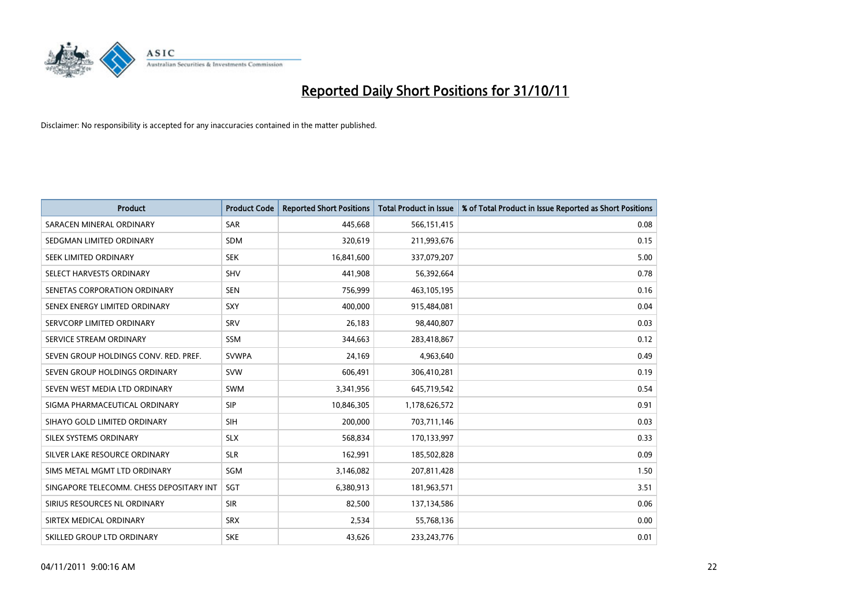

| <b>Product</b>                           | <b>Product Code</b> | <b>Reported Short Positions</b> | <b>Total Product in Issue</b> | % of Total Product in Issue Reported as Short Positions |
|------------------------------------------|---------------------|---------------------------------|-------------------------------|---------------------------------------------------------|
| SARACEN MINERAL ORDINARY                 | <b>SAR</b>          | 445,668                         | 566,151,415                   | 0.08                                                    |
| SEDGMAN LIMITED ORDINARY                 | <b>SDM</b>          | 320,619                         | 211,993,676                   | 0.15                                                    |
| SEEK LIMITED ORDINARY                    | <b>SEK</b>          | 16,841,600                      | 337,079,207                   | 5.00                                                    |
| SELECT HARVESTS ORDINARY                 | <b>SHV</b>          | 441,908                         | 56,392,664                    | 0.78                                                    |
| SENETAS CORPORATION ORDINARY             | <b>SEN</b>          | 756,999                         | 463,105,195                   | 0.16                                                    |
| SENEX ENERGY LIMITED ORDINARY            | SXY                 | 400,000                         | 915,484,081                   | 0.04                                                    |
| SERVCORP LIMITED ORDINARY                | SRV                 | 26,183                          | 98,440,807                    | 0.03                                                    |
| SERVICE STREAM ORDINARY                  | <b>SSM</b>          | 344,663                         | 283,418,867                   | 0.12                                                    |
| SEVEN GROUP HOLDINGS CONV. RED. PREF.    | <b>SVWPA</b>        | 24,169                          | 4,963,640                     | 0.49                                                    |
| SEVEN GROUP HOLDINGS ORDINARY            | <b>SVW</b>          | 606,491                         | 306,410,281                   | 0.19                                                    |
| SEVEN WEST MEDIA LTD ORDINARY            | <b>SWM</b>          | 3,341,956                       | 645,719,542                   | 0.54                                                    |
| SIGMA PHARMACEUTICAL ORDINARY            | <b>SIP</b>          | 10,846,305                      | 1,178,626,572                 | 0.91                                                    |
| SIHAYO GOLD LIMITED ORDINARY             | <b>SIH</b>          | 200,000                         | 703,711,146                   | 0.03                                                    |
| SILEX SYSTEMS ORDINARY                   | <b>SLX</b>          | 568,834                         | 170,133,997                   | 0.33                                                    |
| SILVER LAKE RESOURCE ORDINARY            | <b>SLR</b>          | 162,991                         | 185,502,828                   | 0.09                                                    |
| SIMS METAL MGMT LTD ORDINARY             | SGM                 | 3,146,082                       | 207,811,428                   | 1.50                                                    |
| SINGAPORE TELECOMM. CHESS DEPOSITARY INT | SGT                 | 6,380,913                       | 181,963,571                   | 3.51                                                    |
| SIRIUS RESOURCES NL ORDINARY             | <b>SIR</b>          | 82,500                          | 137,134,586                   | 0.06                                                    |
| SIRTEX MEDICAL ORDINARY                  | <b>SRX</b>          | 2,534                           | 55,768,136                    | 0.00                                                    |
| SKILLED GROUP LTD ORDINARY               | <b>SKE</b>          | 43,626                          | 233, 243, 776                 | 0.01                                                    |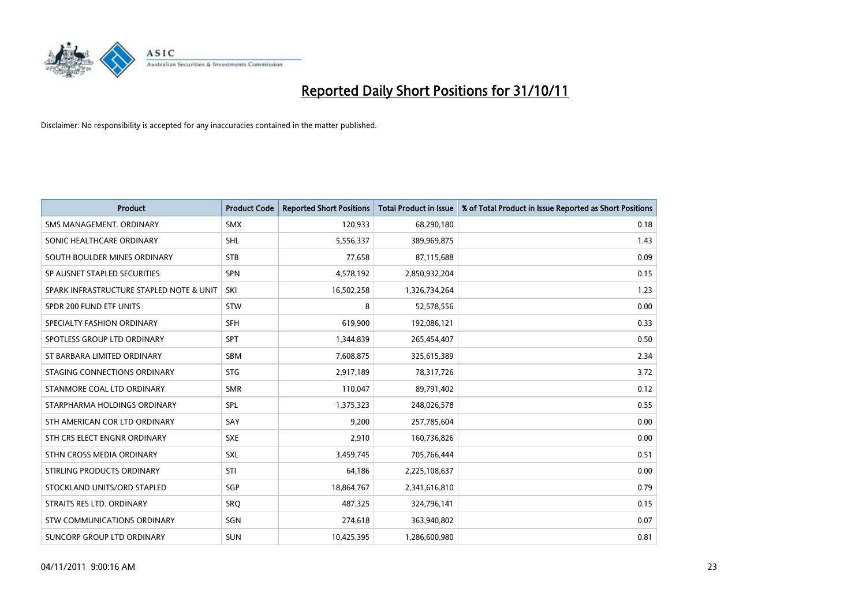

| <b>Product</b>                           | <b>Product Code</b> | <b>Reported Short Positions</b> | <b>Total Product in Issue</b> | % of Total Product in Issue Reported as Short Positions |
|------------------------------------------|---------------------|---------------------------------|-------------------------------|---------------------------------------------------------|
| SMS MANAGEMENT, ORDINARY                 | <b>SMX</b>          | 120,933                         | 68,290,180                    | 0.18                                                    |
| SONIC HEALTHCARE ORDINARY                | <b>SHL</b>          | 5,556,337                       | 389,969,875                   | 1.43                                                    |
| SOUTH BOULDER MINES ORDINARY             | <b>STB</b>          | 77,658                          | 87,115,688                    | 0.09                                                    |
| SP AUSNET STAPLED SECURITIES             | <b>SPN</b>          | 4,578,192                       | 2,850,932,204                 | 0.15                                                    |
| SPARK INFRASTRUCTURE STAPLED NOTE & UNIT | SKI                 | 16,502,258                      | 1,326,734,264                 | 1.23                                                    |
| SPDR 200 FUND ETF UNITS                  | <b>STW</b>          | 8                               | 52,578,556                    | 0.00                                                    |
| SPECIALTY FASHION ORDINARY               | <b>SFH</b>          | 619,900                         | 192,086,121                   | 0.33                                                    |
| SPOTLESS GROUP LTD ORDINARY              | <b>SPT</b>          | 1,344,839                       | 265,454,407                   | 0.50                                                    |
| ST BARBARA LIMITED ORDINARY              | <b>SBM</b>          | 7,608,875                       | 325,615,389                   | 2.34                                                    |
| STAGING CONNECTIONS ORDINARY             | <b>STG</b>          | 2,917,189                       | 78,317,726                    | 3.72                                                    |
| STANMORE COAL LTD ORDINARY               | <b>SMR</b>          | 110,047                         | 89,791,402                    | 0.12                                                    |
| STARPHARMA HOLDINGS ORDINARY             | SPL                 | 1,375,323                       | 248,026,578                   | 0.55                                                    |
| STH AMERICAN COR LTD ORDINARY            | SAY                 | 9,200                           | 257,785,604                   | 0.00                                                    |
| STH CRS ELECT ENGNR ORDINARY             | <b>SXE</b>          | 2,910                           | 160,736,826                   | 0.00                                                    |
| STHN CROSS MEDIA ORDINARY                | <b>SXL</b>          | 3,459,745                       | 705,766,444                   | 0.51                                                    |
| STIRLING PRODUCTS ORDINARY               | STI                 | 64,186                          | 2,225,108,637                 | 0.00                                                    |
| STOCKLAND UNITS/ORD STAPLED              | <b>SGP</b>          | 18,864,767                      | 2,341,616,810                 | 0.79                                                    |
| STRAITS RES LTD. ORDINARY                | <b>SRQ</b>          | 487,325                         | 324,796,141                   | 0.15                                                    |
| STW COMMUNICATIONS ORDINARY              | SGN                 | 274,618                         | 363,940,802                   | 0.07                                                    |
| SUNCORP GROUP LTD ORDINARY               | <b>SUN</b>          | 10,425,395                      | 1,286,600,980                 | 0.81                                                    |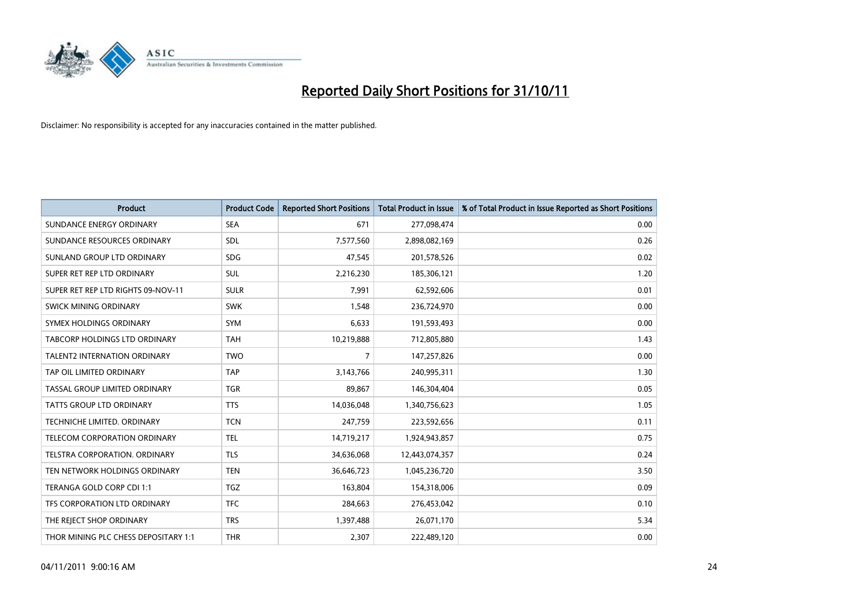

| <b>Product</b>                       | <b>Product Code</b> | <b>Reported Short Positions</b> | <b>Total Product in Issue</b> | % of Total Product in Issue Reported as Short Positions |
|--------------------------------------|---------------------|---------------------------------|-------------------------------|---------------------------------------------------------|
| SUNDANCE ENERGY ORDINARY             | <b>SEA</b>          | 671                             | 277,098,474                   | 0.00                                                    |
| SUNDANCE RESOURCES ORDINARY          | <b>SDL</b>          | 7,577,560                       | 2,898,082,169                 | 0.26                                                    |
| SUNLAND GROUP LTD ORDINARY           | <b>SDG</b>          | 47,545                          | 201,578,526                   | 0.02                                                    |
| SUPER RET REP LTD ORDINARY           | <b>SUL</b>          | 2,216,230                       | 185,306,121                   | 1.20                                                    |
| SUPER RET REP LTD RIGHTS 09-NOV-11   | <b>SULR</b>         | 7,991                           | 62,592,606                    | 0.01                                                    |
| SWICK MINING ORDINARY                | <b>SWK</b>          | 1,548                           | 236,724,970                   | 0.00                                                    |
| SYMEX HOLDINGS ORDINARY              | <b>SYM</b>          | 6,633                           | 191,593,493                   | 0.00                                                    |
| TABCORP HOLDINGS LTD ORDINARY        | <b>TAH</b>          | 10,219,888                      | 712,805,880                   | 1.43                                                    |
| <b>TALENT2 INTERNATION ORDINARY</b>  | <b>TWO</b>          | 7                               | 147,257,826                   | 0.00                                                    |
| TAP OIL LIMITED ORDINARY             | <b>TAP</b>          | 3,143,766                       | 240,995,311                   | 1.30                                                    |
| TASSAL GROUP LIMITED ORDINARY        | <b>TGR</b>          | 89,867                          | 146,304,404                   | 0.05                                                    |
| <b>TATTS GROUP LTD ORDINARY</b>      | <b>TTS</b>          | 14,036,048                      | 1,340,756,623                 | 1.05                                                    |
| TECHNICHE LIMITED. ORDINARY          | <b>TCN</b>          | 247,759                         | 223,592,656                   | 0.11                                                    |
| <b>TELECOM CORPORATION ORDINARY</b>  | <b>TEL</b>          | 14,719,217                      | 1,924,943,857                 | 0.75                                                    |
| TELSTRA CORPORATION, ORDINARY        | <b>TLS</b>          | 34,636,068                      | 12,443,074,357                | 0.24                                                    |
| TEN NETWORK HOLDINGS ORDINARY        | <b>TEN</b>          | 36,646,723                      | 1,045,236,720                 | 3.50                                                    |
| TERANGA GOLD CORP CDI 1:1            | <b>TGZ</b>          | 163,804                         | 154,318,006                   | 0.09                                                    |
| TFS CORPORATION LTD ORDINARY         | <b>TFC</b>          | 284,663                         | 276,453,042                   | 0.10                                                    |
| THE REJECT SHOP ORDINARY             | <b>TRS</b>          | 1,397,488                       | 26,071,170                    | 5.34                                                    |
| THOR MINING PLC CHESS DEPOSITARY 1:1 | <b>THR</b>          | 2,307                           | 222,489,120                   | 0.00                                                    |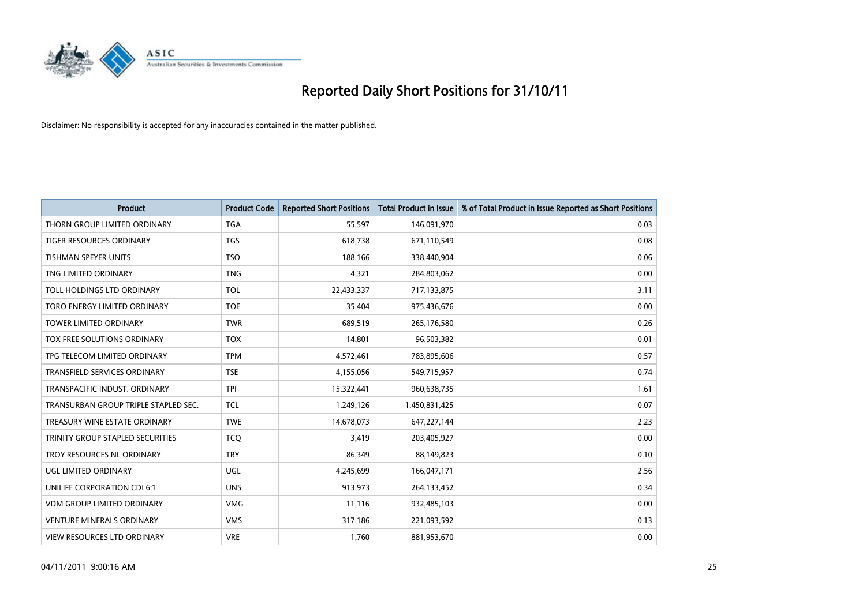

| <b>Product</b>                       | <b>Product Code</b> | <b>Reported Short Positions</b> | <b>Total Product in Issue</b> | % of Total Product in Issue Reported as Short Positions |
|--------------------------------------|---------------------|---------------------------------|-------------------------------|---------------------------------------------------------|
| THORN GROUP LIMITED ORDINARY         | <b>TGA</b>          | 55,597                          | 146,091,970                   | 0.03                                                    |
| TIGER RESOURCES ORDINARY             | <b>TGS</b>          | 618,738                         | 671,110,549                   | 0.08                                                    |
| <b>TISHMAN SPEYER UNITS</b>          | <b>TSO</b>          | 188,166                         | 338,440,904                   | 0.06                                                    |
| TNG LIMITED ORDINARY                 | <b>TNG</b>          | 4,321                           | 284,803,062                   | 0.00                                                    |
| TOLL HOLDINGS LTD ORDINARY           | <b>TOL</b>          | 22,433,337                      | 717,133,875                   | 3.11                                                    |
| TORO ENERGY LIMITED ORDINARY         | <b>TOE</b>          | 35,404                          | 975,436,676                   | 0.00                                                    |
| <b>TOWER LIMITED ORDINARY</b>        | <b>TWR</b>          | 689,519                         | 265,176,580                   | 0.26                                                    |
| TOX FREE SOLUTIONS ORDINARY          | <b>TOX</b>          | 14,801                          | 96,503,382                    | 0.01                                                    |
| TPG TELECOM LIMITED ORDINARY         | <b>TPM</b>          | 4,572,461                       | 783,895,606                   | 0.57                                                    |
| <b>TRANSFIELD SERVICES ORDINARY</b>  | <b>TSE</b>          | 4,155,056                       | 549,715,957                   | 0.74                                                    |
| TRANSPACIFIC INDUST. ORDINARY        | <b>TPI</b>          | 15,322,441                      | 960,638,735                   | 1.61                                                    |
| TRANSURBAN GROUP TRIPLE STAPLED SEC. | <b>TCL</b>          | 1,249,126                       | 1,450,831,425                 | 0.07                                                    |
| TREASURY WINE ESTATE ORDINARY        | <b>TWE</b>          | 14,678,073                      | 647,227,144                   | 2.23                                                    |
| TRINITY GROUP STAPLED SECURITIES     | <b>TCO</b>          | 3,419                           | 203,405,927                   | 0.00                                                    |
| TROY RESOURCES NL ORDINARY           | <b>TRY</b>          | 86,349                          | 88,149,823                    | 0.10                                                    |
| UGL LIMITED ORDINARY                 | UGL                 | 4,245,699                       | 166,047,171                   | 2.56                                                    |
| UNILIFE CORPORATION CDI 6:1          | <b>UNS</b>          | 913,973                         | 264,133,452                   | 0.34                                                    |
| <b>VDM GROUP LIMITED ORDINARY</b>    | <b>VMG</b>          | 11,116                          | 932,485,103                   | 0.00                                                    |
| <b>VENTURE MINERALS ORDINARY</b>     | <b>VMS</b>          | 317,186                         | 221,093,592                   | 0.13                                                    |
| VIEW RESOURCES LTD ORDINARY          | <b>VRE</b>          | 1,760                           | 881,953,670                   | 0.00                                                    |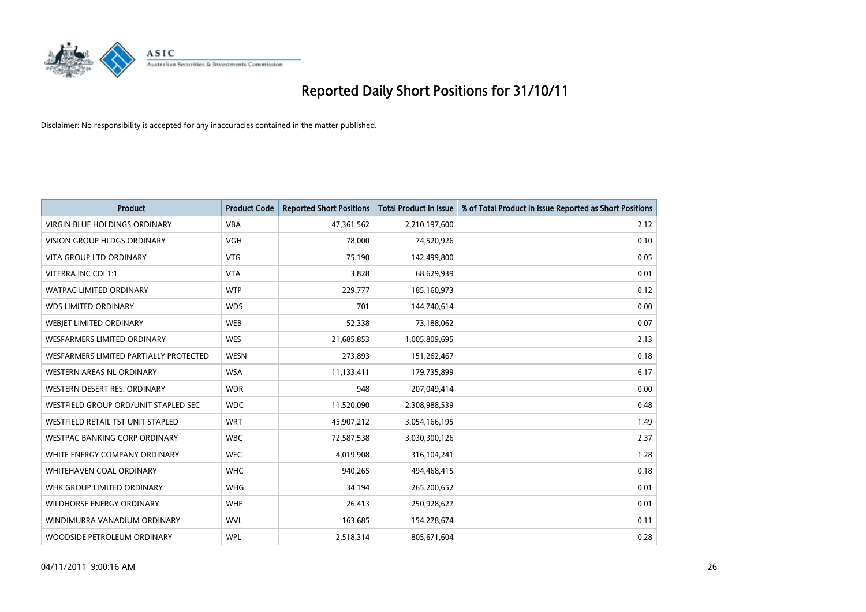

| <b>Product</b>                         | <b>Product Code</b> | <b>Reported Short Positions</b> | <b>Total Product in Issue</b> | % of Total Product in Issue Reported as Short Positions |
|----------------------------------------|---------------------|---------------------------------|-------------------------------|---------------------------------------------------------|
| <b>VIRGIN BLUE HOLDINGS ORDINARY</b>   | <b>VBA</b>          | 47,361,562                      | 2,210,197,600                 | 2.12                                                    |
| VISION GROUP HLDGS ORDINARY            | <b>VGH</b>          | 78,000                          | 74,520,926                    | 0.10                                                    |
| <b>VITA GROUP LTD ORDINARY</b>         | <b>VTG</b>          | 75,190                          | 142,499,800                   | 0.05                                                    |
| VITERRA INC CDI 1:1                    | <b>VTA</b>          | 3,828                           | 68,629,939                    | 0.01                                                    |
| <b>WATPAC LIMITED ORDINARY</b>         | <b>WTP</b>          | 229,777                         | 185,160,973                   | 0.12                                                    |
| <b>WDS LIMITED ORDINARY</b>            | <b>WDS</b>          | 701                             | 144,740,614                   | 0.00                                                    |
| WEBIET LIMITED ORDINARY                | <b>WEB</b>          | 52,338                          | 73,188,062                    | 0.07                                                    |
| <b>WESFARMERS LIMITED ORDINARY</b>     | <b>WES</b>          | 21,685,853                      | 1,005,809,695                 | 2.13                                                    |
| WESFARMERS LIMITED PARTIALLY PROTECTED | <b>WESN</b>         | 273,893                         | 151,262,467                   | 0.18                                                    |
| WESTERN AREAS NL ORDINARY              | <b>WSA</b>          | 11,133,411                      | 179,735,899                   | 6.17                                                    |
| WESTERN DESERT RES. ORDINARY           | <b>WDR</b>          | 948                             | 207,049,414                   | 0.00                                                    |
| WESTFIELD GROUP ORD/UNIT STAPLED SEC   | <b>WDC</b>          | 11,520,090                      | 2,308,988,539                 | 0.48                                                    |
| WESTFIELD RETAIL TST UNIT STAPLED      | <b>WRT</b>          | 45,907,212                      | 3,054,166,195                 | 1.49                                                    |
| <b>WESTPAC BANKING CORP ORDINARY</b>   | <b>WBC</b>          | 72,587,538                      | 3,030,300,126                 | 2.37                                                    |
| WHITE ENERGY COMPANY ORDINARY          | <b>WEC</b>          | 4,019,908                       | 316,104,241                   | 1.28                                                    |
| WHITEHAVEN COAL ORDINARY               | <b>WHC</b>          | 940,265                         | 494,468,415                   | 0.18                                                    |
| WHK GROUP LIMITED ORDINARY             | <b>WHG</b>          | 34,194                          | 265,200,652                   | 0.01                                                    |
| WILDHORSE ENERGY ORDINARY              | <b>WHE</b>          | 26,413                          | 250,928,627                   | 0.01                                                    |
| WINDIMURRA VANADIUM ORDINARY           | <b>WVL</b>          | 163,685                         | 154,278,674                   | 0.11                                                    |
| WOODSIDE PETROLEUM ORDINARY            | <b>WPL</b>          | 2,518,314                       | 805,671,604                   | 0.28                                                    |